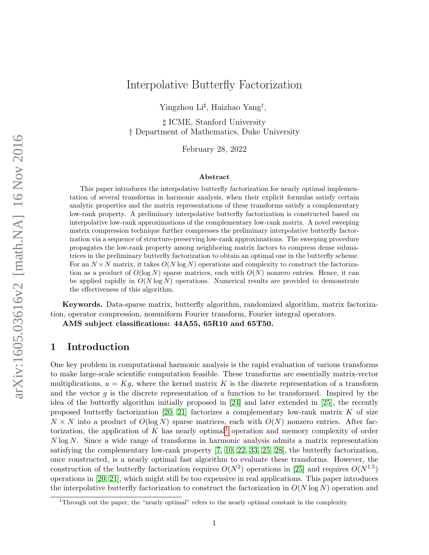# Interpolative Butterfly Factorization

Yingzhou Li<sup>‡</sup>, Haizhao Yang<sup>†</sup>,

] ICME, Stanford University † Department of Mathematics, Duke University

February 28, 2022

#### Abstract

This paper introduces the interpolative butterfly factorization for nearly optimal implementation of several transforms in harmonic analysis, when their explicit formulas satisfy certain analytic properties and the matrix representations of these transforms satisfy a complementary low-rank property. A preliminary interpolative butterfly factorization is constructed based on interpolative low-rank approximations of the complementary low-rank matrix. A novel sweeping matrix compression technique further compresses the preliminary interpolative butterfly factorization via a sequence of structure-preserving low-rank approximations. The sweeping procedure propagates the low-rank property among neighboring matrix factors to compress dense submatrices in the preliminary butterfly factorization to obtain an optimal one in the butterfly scheme. For an  $N \times N$  matrix, it takes  $O(N \log N)$  operations and complexity to construct the factorization as a product of  $O(\log N)$  sparse matrices, each with  $O(N)$  nonzero entries. Hence, it can be applied rapidly in  $O(N \log N)$  operations. Numerical results are provided to demonstrate the effectiveness of this algorithm.

Keywords. Data-sparse matrix, butterfly algorithm, randomized algorithm, matrix factorization, operator compression, nonuniform Fourier transform, Fourier integral operators.

AMS subject classifications: 44A55, 65R10 and 65T50.

# 1 Introduction

One key problem in computational harmonic analysis is the rapid evaluation of various transforms to make large-scale scientific computation feasible. These transforms are essentially matrix-vector multiplications,  $u = Kg$ , where the kernel matrix K is the discrete representation of a transform and the vector  $g$  is the discrete representation of a function to be transformed. Inspired by the idea of the butterfly algorithm initially proposed in [\[24\]](#page-27-0) and later extended in [\[25\]](#page-27-1), the recently proposed butterfly factorization [\[20,](#page-27-2) [21\]](#page-27-3) factorizes a complementary low-rank matrix  $K$  of size  $N \times N$  into a product of  $O(\log N)$  sparse matrices, each with  $O(N)$  nonzero entries. After fac-torization, the application of K has nearly optimal<sup>[1](#page-0-0)</sup> operation and memory complexity of order N log N. Since a wide range of transforms in harmonic analysis admits a matrix representation satisfying the complementary low-rank property [\[7,](#page-26-0) [10,](#page-26-1) [22,](#page-27-4) [33,](#page-28-0) [25,](#page-27-1) [28\]](#page-27-5), the butterfly factorization, once constructed, is a nearly optimal fast algorithm to evaluate these transforms. However, the construction of the butterfly factorization requires  $O(N^2)$  operations in [\[25\]](#page-27-1) and requires  $O(N^{1.5})$ operations in [\[20,](#page-27-2) [21\]](#page-27-3), which might still be too expensive in real applications. This paper introduces the interpolative butterfly factorization to construct the factorization in  $O(N \log N)$  operation and

<span id="page-0-0"></span><sup>&</sup>lt;sup>1</sup>Through out the paper, the "nearly optimal" refers to the nearly optimal constant in the complexity.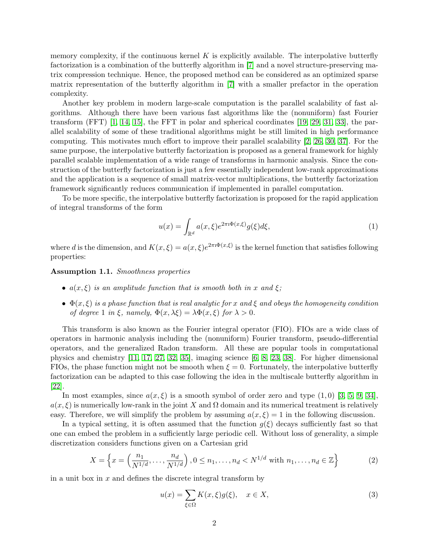memory complexity, if the continuous kernel  $K$  is explicitly available. The interpolative butterfly factorization is a combination of the butterfly algorithm in [\[7\]](#page-26-0) and a novel structure-preserving matrix compression technique. Hence, the proposed method can be considered as an optimized sparse matrix representation of the butterfly algorithm in [\[7\]](#page-26-0) with a smaller prefactor in the operation complexity.

Another key problem in modern large-scale computation is the parallel scalability of fast algorithms. Although there have been various fast algorithms like the (nonuniform) fast Fourier transform  $(FFT)$  [\[1,](#page-26-2) [14,](#page-27-6) [15\]](#page-27-7), the FFT in polar and spherical coordinates [\[19,](#page-27-8) [29,](#page-28-1) [31,](#page-28-2) [33\]](#page-28-0), the parallel scalability of some of these traditional algorithms might be still limited in high performance computing. This motivates much effort to improve their parallel scalability [\[2,](#page-26-3) [26,](#page-27-9) [30,](#page-28-3) [37\]](#page-28-4). For the same purpose, the interpolative butterfly factorization is proposed as a general framework for highly parallel scalable implementation of a wide range of transforms in harmonic analysis. Since the construction of the butterfly factorization is just a few essentially independent low-rank approximations and the application is a sequence of small matrix-vector multiplications, the butterfly factorization framework significantly reduces communication if implemented in parallel computation.

To be more specific, the interpolative butterfly factorization is proposed for the rapid application of integral transforms of the form

$$
u(x) = \int_{\mathbb{R}^d} a(x,\xi) e^{2\pi i \Phi(x,\xi)} g(\xi) d\xi,
$$
 (1)

where d is the dimension, and  $K(x,\xi) = a(x,\xi)e^{2\pi i \Phi(x,\xi)}$  is the kernel function that satisfies following properties:

<span id="page-1-1"></span>Assumption 1.1. Smoothness properties

- $a(x,\xi)$  is an amplitude function that is smooth both in x and  $\xi$ ;
- $\Phi(x,\xi)$  is a phase function that is real analytic for x and  $\xi$  and obeys the homogeneity condition of degree 1 in ξ, namely,  $\Phi(x, \lambda \xi) = \lambda \Phi(x, \xi)$  for  $\lambda > 0$ .

This transform is also known as the Fourier integral operator (FIO). FIOs are a wide class of operators in harmonic analysis including the (nonuniform) Fourier transform, pseudo-differential operators, and the generalized Radon transform. All these are popular tools in computational physics and chemistry [\[11,](#page-26-4) [17,](#page-27-10) [27,](#page-27-11) [32,](#page-28-5) [35\]](#page-28-6), imaging science [\[6,](#page-26-5) [8,](#page-26-6) [23,](#page-27-12) [38\]](#page-28-7). For higher dimensional FIOs, the phase function might not be smooth when  $\xi = 0$ . Fortunately, the interpolative butterfly factorization can be adapted to this case following the idea in the multiscale butterfly algorithm in [\[22\]](#page-27-4).

In most examples, since  $a(x, \xi)$  is a smooth symbol of order zero and type  $(1, 0)$  [\[3,](#page-26-7) [5,](#page-26-8) [9,](#page-26-9) [34\]](#page-28-8),  $a(x, \xi)$  is numerically low-rank in the joint X and  $\Omega$  domain and its numerical treatment is relatively easy. Therefore, we will simplify the problem by assuming  $a(x,\xi) = 1$  in the following discussion.

In a typical setting, it is often assumed that the function  $g(\xi)$  decays sufficiently fast so that one can embed the problem in a sufficiently large periodic cell. Without loss of generality, a simple discretization considers functions given on a Cartesian grid

<span id="page-1-2"></span>
$$
X = \left\{ x = \left( \frac{n_1}{N^{1/d}}, \dots, \frac{n_d}{N^{1/d}} \right), 0 \le n_1, \dots, n_d < N^{1/d} \text{ with } n_1, \dots, n_d \in \mathbb{Z} \right\} \tag{2}
$$

in a unit box in  $x$  and defines the discrete integral transform by

<span id="page-1-0"></span>
$$
u(x) = \sum_{\xi \in \Omega} K(x, \xi) g(\xi), \quad x \in X,
$$
\n(3)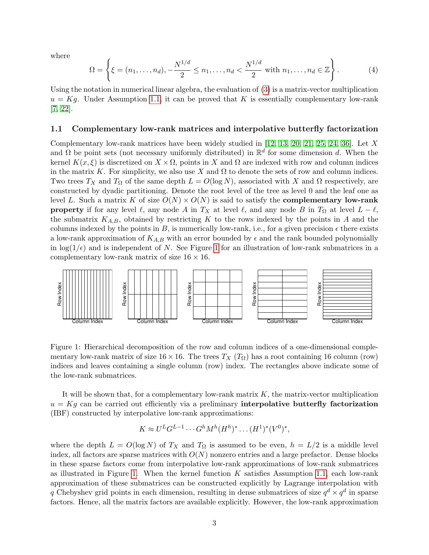where

<span id="page-2-1"></span>
$$
\Omega = \left\{ \xi = (n_1, \dots, n_d), -\frac{N^{1/d}}{2} \le n_1, \dots, n_d < \frac{N^{1/d}}{2} \text{ with } n_1, \dots, n_d \in \mathbb{Z} \right\}.
$$
 (4)

Using the notation in numerical linear algebra, the evaluation of [\(3\)](#page-1-0) is a matrix-vector multiplication  $u = Kg$ . Under Assumption [1.1,](#page-1-1) it can be proved that K is essentially complementary low-rank [\[7,](#page-26-0) [22\]](#page-27-4).

### 1.1 Complementary low-rank matrices and interpolative butterfly factorization

Complementary low-rank matrices have been widely studied in  $[12, 13, 20, 21, 25, 24, 36]$  $[12, 13, 20, 21, 25, 24, 36]$  $[12, 13, 20, 21, 25, 24, 36]$  $[12, 13, 20, 21, 25, 24, 36]$  $[12, 13, 20, 21, 25, 24, 36]$  $[12, 13, 20, 21, 25, 24, 36]$  $[12, 13, 20, 21, 25, 24, 36]$ . Let X and  $\Omega$  be point sets (not necessary uniformly distributed) in  $\mathbb{R}^d$  for some dimension d. When the kernel  $K(x, \xi)$  is discretized on  $X \times \Omega$ , points in X and  $\Omega$  are indexed with row and column indices in the matrix K. For simplicity, we also use X and  $\Omega$  to denote the sets of row and column indices. Two trees  $T_X$  and  $T_\Omega$  of the same depth  $L = O(\log N)$ , associated with X and  $\Omega$  respectively, are constructed by dyadic partitioning. Denote the root level of the tree as level 0 and the leaf one as level L. Such a matrix K of size  $O(N) \times O(N)$  is said to satisfy the **complementary low-rank property** if for any level  $\ell$ , any node A in  $T_X$  at level  $\ell$ , and any node B in  $T_\Omega$  at level  $L - \ell$ , the submatrix  $K_{A,B}$ , obtained by restricting K to the rows indexed by the points in A and the columns indexed by the points in B, is numerically low-rank, i.e., for a given precision  $\epsilon$  there exists a low-rank approximation of  $K_{A,B}$  with an error bounded by  $\epsilon$  and the rank bounded polynomially in  $\log(1/\epsilon)$  and is independent of N. See Figure [1](#page-2-0) for an illustration of low-rank submatrices in a complementary low-rank matrix of size  $16 \times 16$ .

<span id="page-2-0"></span>

Figure 1: Hierarchical decomposition of the row and column indices of a one-dimensional complementary low-rank matrix of size  $16 \times 16$ . The trees  $T_X(T_\Omega)$  has a root containing 16 column (row) indices and leaves containing a single column (row) index. The rectangles above indicate some of the low-rank submatrices.

It will be shown that, for a complementary low-rank matrix  $K$ , the matrix-vector multiplication  $u = Kg$  can be carried out efficiently via a preliminary interpolative butterfly factorization (IBF) constructed by interpolative low-rank approximations:

$$
K \approx U^{L} G^{L-1} \cdots G^{h} M^{h} (H^{h})^{*} \cdots (H^{1})^{*} (V^{0})^{*},
$$

where the depth  $L = O(\log N)$  of  $T_X$  and  $T_\Omega$  is assumed to be even,  $h = L/2$  is a middle level index, all factors are sparse matrices with  $O(N)$  nonzero entries and a large prefactor. Dense blocks in these sparse factors come from interpolative low-rank approximations of low-rank submatrices as illustrated in Figure [1.](#page-2-0) When the kernel function  $K$  satisfies Assumption [1.1,](#page-1-1) each low-rank approximation of these submatrices can be constructed explicitly by Lagrange interpolation with q Chebyshev grid points in each dimension, resulting in dense submatrices of size  $q^d \times q^d$  in sparse factors. Hence, all the matrix factors are available explicitly. However, the low-rank approximation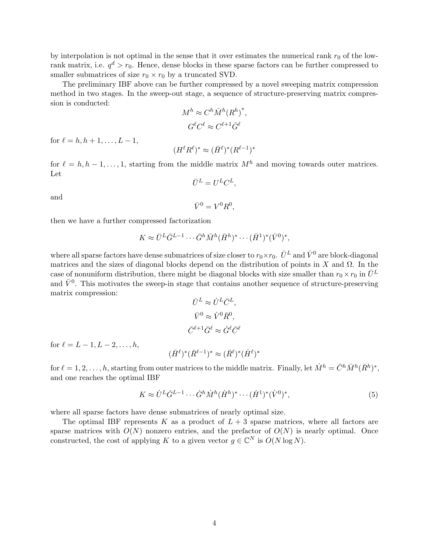by interpolation is not optimal in the sense that it over estimates the numerical rank  $r_0$  of the lowrank matrix, i.e.  $q^d > r_0$ . Hence, dense blocks in these sparse factors can be further compressed to smaller submatrices of size  $r_0 \times r_0$  by a truncated SVD.

The preliminary IBF above can be further compressed by a novel sweeping matrix compression method in two stages. In the sweep-out stage, a sequence of structure-preserving matrix compression is conducted:

$$
M^h \approx C^h \bar{M}^h (R^h)^*,
$$
  

$$
G^{\ell} C^{\ell} \approx C^{\ell+1} \bar{G}^{\ell}
$$

for  $\ell = h, h + 1, \ldots, L - 1$ ,

$$
(H^{\ell}R^{\ell})^* \approx (\bar{H}^{\ell})^*(R^{\ell-1})^*
$$

for  $\ell = h, h - 1, \ldots, 1$ , starting from the middle matrix  $M<sup>h</sup>$  and moving towards outer matrices. Let

$$
\bar{U}^L = U^L C^L,
$$

and

$$
\bar{V}^0 = V^0 R^0,
$$

then we have a further compressed factorization

$$
K \approx \bar{U}^L \bar{G}^{L-1} \cdots \bar{G}^h \bar{M}^h (\bar{H}^h)^* \cdots (\bar{H}^1)^* (\bar{V}^0)^*,
$$

where all sparse factors have dense submatrices of size closer to  $r_0 \times r_0$ .  $\bar{U}^L$  and  $\bar{V}^0$  are block-diagonal matrices and the sizes of diagonal blocks depend on the distribution of points in X and  $\Omega$ . In the case of nonuniform distribution, there might be diagonal blocks with size smaller than  $r_0 \times r_0$  in  $\bar{U}^L$ and  $\bar{V}^0$ . This motivates the sweep-in stage that contains another sequence of structure-preserving matrix compression:

$$
\bar{U}^L \approx \dot{U}^L \bar{C}^L,
$$
  

$$
\bar{V}^0 \approx \dot{V}^0 \bar{R}^0,
$$
  

$$
\bar{C}^{\ell+1} \bar{G}^{\ell} \approx \dot{G}^{\ell} \bar{C}^{\ell}
$$

for  $\ell = L - 1, L - 2, \ldots, h$ ,

$$
(\bar{H}^{\ell})^*(\bar{R}^{\ell-1})^* \approx (\bar{R}^{\ell})^*(\dot{H}^{\ell})^*
$$

for  $\ell = 1, 2, \ldots, h$ , starting from outer matrices to the middle matrix. Finally, let  $\dot{M}^h = \bar{C}^h \bar{M}^h (\bar{R}^h)^*$ , and one reaches the optimal IBF

$$
K \approx \dot{U}^L \dot{G}^{L-1} \cdots \dot{G}^h \dot{M}^h (\dot{H}^h)^* \cdots (\dot{H}^1)^* (\dot{V}^0)^*,
$$
\n(5)

where all sparse factors have dense submatrices of nearly optimal size.

The optimal IBF represents K as a product of  $L + 3$  sparse matrices, where all factors are sparse matrices with  $O(N)$  nonzero entries, and the prefactor of  $O(N)$  is nearly optimal. Once constructed, the cost of applying K to a given vector  $g \in \mathbb{C}^N$  is  $O(N \log N)$ .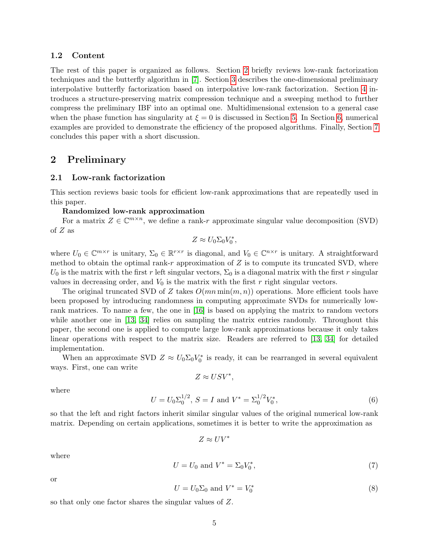### 1.2 Content

The rest of this paper is organized as follows. Section [2](#page-4-0) briefly reviews low-rank factorization techniques and the butterfly algorithm in [\[7\]](#page-26-0). Section [3](#page-9-0) describes the one-dimensional preliminary interpolative butterfly factorization based on interpolative low-rank factorization. Section [4](#page-14-0) introduces a structure-preserving matrix compression technique and a sweeping method to further compress the preliminary IBF into an optimal one. Multidimensional extension to a general case when the phase function has singularity at  $\xi = 0$  is discussed in Section [5.](#page-20-0) In Section [6,](#page-21-0) numerical examples are provided to demonstrate the efficiency of the proposed algorithms. Finally, Section [7](#page-25-0) concludes this paper with a short discussion.

## <span id="page-4-0"></span>2 Preliminary

### 2.1 Low-rank factorization

This section reviews basic tools for efficient low-rank approximations that are repeatedly used in this paper.

### Randomized low-rank approximation

For a matrix  $Z \in \mathbb{C}^{m \times n}$ , we define a rank-r approximate singular value decomposition (SVD) of Z as

$$
Z \approx U_0 \Sigma_0 V_0^*,
$$

where  $U_0 \in \mathbb{C}^{m \times r}$  is unitary,  $\Sigma_0 \in \mathbb{R}^{r \times r}$  is diagonal, and  $V_0 \in \mathbb{C}^{n \times r}$  is unitary. A straightforward method to obtain the optimal rank-r approximation of  $Z$  is to compute its truncated SVD, where  $U_0$  is the matrix with the first r left singular vectors,  $\Sigma_0$  is a diagonal matrix with the first r singular values in decreasing order, and  $V_0$  is the matrix with the first r right singular vectors.

The original truncated SVD of Z takes  $O(mn\min(m, n))$  operations. More efficient tools have been proposed by introducing randomness in computing approximate SVDs for numerically lowrank matrices. To name a few, the one in [\[16\]](#page-27-15) is based on applying the matrix to random vectors while another one in [\[13,](#page-27-14) [34\]](#page-28-8) relies on sampling the matrix entries randomly. Throughout this paper, the second one is applied to compute large low-rank approximations because it only takes linear operations with respect to the matrix size. Readers are referred to [\[13,](#page-27-14) [34\]](#page-28-8) for detailed implementation.

When an approximate SVD  $Z \approx U_0 \Sigma_0 V_0^*$  is ready, it can be rearranged in several equivalent ways. First, one can write

$$
Z \approx USV^*,
$$

where

<span id="page-4-1"></span>
$$
U = U_0 \Sigma_0^{1/2}, S = I \text{ and } V^* = \Sigma_0^{1/2} V_0^*,
$$
\n(6)

so that the left and right factors inherit similar singular values of the original numerical low-rank matrix. Depending on certain applications, sometimes it is better to write the approximation as

$$
Z\approx UV^*
$$

where

$$
U = U_0 \text{ and } V^* = \Sigma_0 V_0^*,\tag{7}
$$

or

$$
U = U_0 \Sigma_0 \text{ and } V^* = V_0^* \tag{8}
$$

so that only one factor shares the singular values of Z.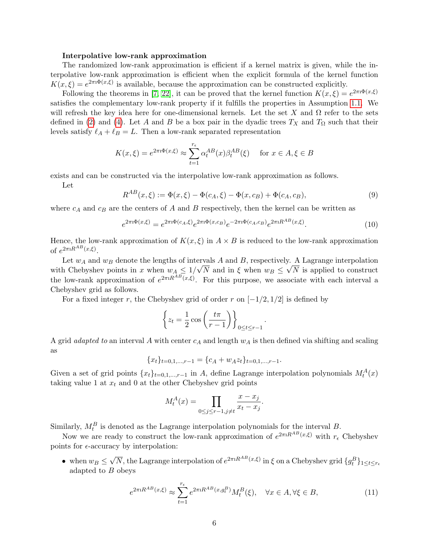#### Interpolative low-rank approximation

The randomized low-rank approximation is efficient if a kernel matrix is given, while the interpolative low-rank approximation is efficient when the explicit formula of the kernel function  $K(x,\xi) = e^{2\pi i \Phi(x,\xi)}$  is available, because the approximation can be constructed explicitly.

Following the theorems in [\[7,](#page-26-0) [22\]](#page-27-4), it can be proved that the kernel function  $K(x,\xi) = e^{2\pi i \Phi(x,\xi)}$ satisfies the complementary low-rank property if it fulfills the properties in Assumption [1.1.](#page-1-1) We will refresh the key idea here for one-dimensional kernels. Let the set X and  $\Omega$  refer to the sets defined in [\(2\)](#page-1-2) and [\(4\)](#page-2-1). Let A and B be a box pair in the dyadic trees  $T_X$  and  $T_\Omega$  such that their levels satisfy  $\ell_A + \ell_B = L$ . Then a low-rank separated representation

$$
K(x,\xi) = e^{2\pi i \Phi(x,\xi)} \approx \sum_{t=1}^{r_{\epsilon}} \alpha_t^{AB}(x) \beta_t^{AB}(\xi) \quad \text{for } x \in A, \xi \in B
$$

exists and can be constructed via the interpolative low-rank approximation as follows.

Let

$$
R^{AB}(x,\xi) := \Phi(x,\xi) - \Phi(c_A,\xi) - \Phi(x,c_B) + \Phi(c_A,c_B),
$$
\n(9)

where  $c_A$  and  $c_B$  are the centers of A and B respectively, then the kernel can be written as

$$
e^{2\pi i \Phi(x,\xi)} = e^{2\pi i \Phi(c_A,\xi)} e^{2\pi i \Phi(x,c_B)} e^{-2\pi i \Phi(c_A,c_B)} e^{2\pi i R^{AB}(x,\xi)}.
$$
(10)

.

Hence, the low-rank approximation of  $K(x, \xi)$  in  $A \times B$  is reduced to the low-rank approximation of  $e^{2\pi i R^{AB}(x,\xi)}$ .

Let  $w_A$  and  $w_B$  denote the lengths of intervals A and B, respectively. A Lagrange interpolation with Chebyshev points in x when  $w_A \leq 1/$ er<br>⊂ N and in  $\xi$  when  $w_B \leq$ y.<br>∫ N is applied to construct the low-rank approximation of  $e^{2\pi i R^{AB}(x,\xi)}$ . For this purpose, we associate with each interval a Chebyshev grid as follows.

For a fixed integer r, the Chebyshev grid of order r on  $[-1/2, 1/2]$  is defined by

$$
\left\{ z_t = \frac{1}{2} \cos \left( \frac{t\pi}{r-1} \right) \right\}_{0 \le t \le r-1}
$$

A grid *adapted to* an interval A with center  $c_A$  and length  $w_A$  is then defined via shifting and scaling as

$$
\{x_t\}_{t=0,1,\dots,r-1} = \{c_A + w_A z_t\}_{t=0,1,\dots,r-1}.
$$

Given a set of grid points  $\{x_t\}_{t=0,1,\dots,r-1}$  in A, define Lagrange interpolation polynomials  $M_t^A(x)$ taking value 1 at  $x_t$  and 0 at the other Chebyshev grid points

$$
M_t^A(x) = \prod_{0 \le j \le r-1, j \ne t} \frac{x - x_j}{x_t - x_j}.
$$

Similarly,  $M_t^B$  is denoted as the Lagrange interpolation polynomials for the interval B.

Now we are ready to construct the low-rank approximation of  $e^{2\pi i R^{AB}(x,\xi)}$  with  $r_{\epsilon}$  Chebyshev points for  $\epsilon$ -accuracy by interpolation:

• when  $w_B \leq$ √  $\overline{N}$ , the Lagrange interpolation of  $e^{2\pi i R^{AB}(x,\xi)}$  in  $\xi$  on a Chebyshev grid  $\{g_t^B\}_{1 \leq t \leq r_{\epsilon}}$ adapted to  $B$  obeys

<span id="page-5-0"></span>
$$
e^{2\pi i R^{AB}(x,\xi)} \approx \sum_{t=1}^{r_{\epsilon}} e^{2\pi i R^{AB}(x,g_t^B)} M_t^B(\xi), \quad \forall x \in A, \forall \xi \in B,
$$
\n(11)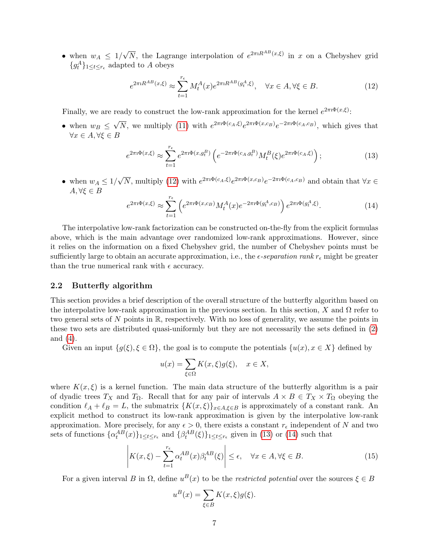• when  $w_A \leq 1/$ √  $\overline{N}$ , the Lagrange interpolation of  $e^{2\pi i R^{AB}(x,\xi)}$  in x on a Chebyshev grid  ${g_t^A}_{1 \leq t \leq r_{\epsilon}}$  adapted to A obeys

<span id="page-6-0"></span>
$$
e^{2\pi i R^{AB}(x,\xi)} \approx \sum_{t=1}^{r_{\xi}} M_t^A(x) e^{2\pi i R^{AB}(g_t^A,\xi)}, \quad \forall x \in A, \forall \xi \in B.
$$
 (12)

Finally, we are ready to construct the low-rank approximation for the kernel  $e^{2\pi i \Phi(x,\xi)}$ :

• when  $w_B \leq$ √  $\overline{N}$ , we multiply [\(11\)](#page-5-0) with  $e^{2\pi i \Phi(c_A,\xi)} e^{2\pi i \Phi(x,c_B)} e^{-2\pi i \Phi(c_A,c_B)}$ , which gives that  $\forall x \in A, \forall \xi \in B$ 

<span id="page-6-1"></span>
$$
e^{2\pi i \Phi(x,\xi)} \approx \sum_{t=1}^{r_{\epsilon}} e^{2\pi i \Phi(x,g_{t}^{B})} \left( e^{-2\pi i \Phi(c_{A},g_{t}^{B})} M_{t}^{B}(\xi) e^{2\pi i \Phi(c_{A},\xi)} \right); \tag{13}
$$

• when  $w_A \leq 1/$ √  $\overline{N}$ , multiply [\(12\)](#page-6-0) with  $e^{2\pi i \Phi(c_A,\xi)} e^{2\pi i \Phi(x,c_B)} e^{-2\pi i \Phi(c_A,c_B)}$  and obtain that  $\forall x \in$  $A, \forall \xi \in B$ 

<span id="page-6-2"></span>
$$
e^{2\pi i \Phi(x,\xi)} \approx \sum_{t=1}^{r_{\epsilon}} \left( e^{2\pi i \Phi(x,c_B)} M_t^A(x) e^{-2\pi i \Phi(g_t^A,c_B)} \right) e^{2\pi i \Phi(g_t^A,\xi)}.
$$
 (14)

The interpolative low-rank factorization can be constructed on-the-fly from the explicit formulas above, which is the main advantage over randomized low-rank approximations. However, since it relies on the information on a fixed Chebyshev grid, the number of Chebyshev points must be sufficiently large to obtain an accurate approximation, i.e., the  $\epsilon$ -separation rank  $r_{\epsilon}$  might be greater than the true numerical rank with  $\epsilon$  accuracy.

#### <span id="page-6-4"></span>2.2 Butterfly algorithm

This section provides a brief description of the overall structure of the butterfly algorithm based on the interpolative low-rank approximation in the previous section. In this section, X and  $\Omega$  refer to two general sets of N points in  $\mathbb{R}$ , respectively. With no loss of generality, we assume the points in these two sets are distributed quasi-uniformly but they are not necessarily the sets defined in [\(2\)](#page-1-2) and [\(4\)](#page-2-1).

Given an input  $\{g(\xi), \xi \in \Omega\}$ , the goal is to compute the potentials  $\{u(x), x \in X\}$  defined by

$$
u(x) = \sum_{\xi \in \Omega} K(x, \xi) g(\xi), \quad x \in X,
$$

where  $K(x,\xi)$  is a kernel function. The main data structure of the butterfly algorithm is a pair of dyadic trees  $T_X$  and  $T_\Omega$ . Recall that for any pair of intervals  $A \times B \in T_X \times T_\Omega$  obeying the condition  $\ell_A + \ell_B = L$ , the submatrix  ${K(x, \xi)}_{x \in A, \xi \in B}$  is approximately of a constant rank. An explicit method to construct its low-rank approximation is given by the interpolative low-rank approximation. More precisely, for any  $\epsilon > 0$ , there exists a constant  $r_{\epsilon}$  independent of N and two sets of functions  $\{\alpha_t^{AB}(x)\}_{1 \leq t \leq r_{\epsilon}}$  and  $\{\beta_t^{AB}(\xi)\}_{1 \leq t \leq r_{\epsilon}}$  given in [\(13\)](#page-6-1) or [\(14\)](#page-6-2) such that

<span id="page-6-3"></span>
$$
\left| K(x,\xi) - \sum_{t=1}^{r_{\epsilon}} \alpha_t^{AB}(x) \beta_t^{AB}(\xi) \right| \le \epsilon, \quad \forall x \in A, \forall \xi \in B.
$$
 (15)

For a given interval B in  $\Omega$ , define  $u^B(x)$  to be the *restricted potential* over the sources  $\xi \in B$ 

$$
u^{B}(x) = \sum_{\xi \in B} K(x,\xi)g(\xi).
$$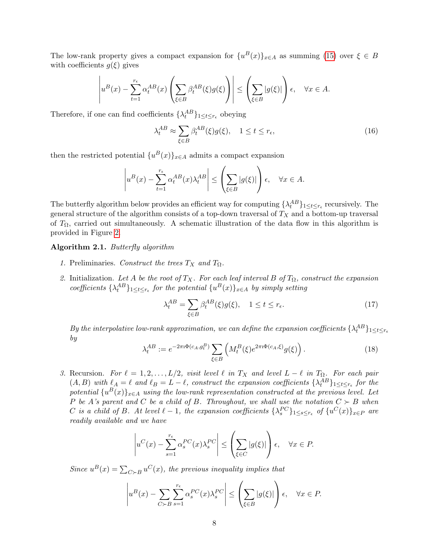The low-rank property gives a compact expansion for  $\{u^B(x)\}_{x\in A}$  as summing [\(15\)](#page-6-3) over  $\xi \in B$ with coefficients  $g(\xi)$  gives

$$
\left| u^B(x) - \sum_{t=1}^{r_{\epsilon}} \alpha_t^{AB}(x) \left( \sum_{\xi \in B} \beta_t^{AB}(\xi) g(\xi) \right) \right| \le \left( \sum_{\xi \in B} |g(\xi)| \right) \epsilon, \quad \forall x \in A.
$$

Therefore, if one can find coefficients  $\{\lambda_t^{AB}\}_{1 \leq t \leq r_{\epsilon}}$  obeying

$$
\lambda_t^{AB} \approx \sum_{\xi \in B} \beta_t^{AB}(\xi) g(\xi), \quad 1 \le t \le r_\epsilon,
$$
\n(16)

then the restricted potential  $\{u^B(x)\}_{x \in A}$  admits a compact expansion

$$
\left| u^B(x) - \sum_{t=1}^{r_{\epsilon}} \alpha_t^{AB}(x) \lambda_t^{AB} \right| \le \left( \sum_{\xi \in B} |g(\xi)| \right) \epsilon, \quad \forall x \in A.
$$

The butterfly algorithm below provides an efficient way for computing  $\{\lambda_t^{AB}\}_{1\leq t\leq r_\epsilon}$  recursively. The general structure of the algorithm consists of a top-down traversal of  $T_X$  and a bottom-up traversal of  $T_{\Omega}$ , carried out simultaneously. A schematic illustration of the data flow in this algorithm is provided in Figure [2.](#page-9-1)

#### <span id="page-7-0"></span>Algorithm 2.1. Butterfly algorithm

- 1. Preliminaries. Construct the trees  $T_X$  and  $T_\Omega$ .
- 2. Initialization. Let A be the root of  $T_X$ . For each leaf interval B of  $T_\Omega$ , construct the expansion coefficients  $\{\lambda_t^{AB}\}_{1 \leq t \leq r_{\epsilon}}$  for the potential  $\{u^B(x)\}_{x \in A}$  by simply setting

$$
\lambda_t^{AB} = \sum_{\xi \in B} \beta_t^{AB}(\xi) g(\xi), \quad 1 \le t \le r_{\epsilon}.\tag{17}
$$

By the interpolative low-rank approximation, we can define the expansion coefficients  $\{\lambda_t^{AB}\}_{1\leq t\leq r_\epsilon}$ by

$$
\lambda_t^{AB} := e^{-2\pi i \Phi(c_A, g_t^B)} \sum_{\xi \in B} \left( M_t^B(\xi) e^{2\pi i \Phi(c_A, \xi)} g(\xi) \right). \tag{18}
$$

3. Recursion. For  $\ell = 1, 2, \ldots, L/2$ , visit level  $\ell$  in  $T_X$  and level  $L - \ell$  in  $T_{\Omega}$ . For each pair  $(A, B)$  with  $\ell_A = \ell$  and  $\ell_B = L - \ell$ , construct the expansion coefficients  $\{\lambda_t^{AB}\}_{1 \leq t \leq r_{\epsilon}}$  for the potential  $\{u^B(x)\}_{x\in A}$  using the low-rank representation constructed at the previous level. Let P be A's parent and C be a child of B. Throughout, we shall use the notation  $C \succ B$  when C is a child of B. At level  $\ell - 1$ , the expansion coefficients  $\{\lambda_s^{PC}\}_{1 \leq s \leq r_{\epsilon}}$  of  $\{u^C(x)\}_{x \in P}$  are readily available and we have

$$
\left| u^C(x) - \sum_{s=1}^{r_{\epsilon}} \alpha_s^{PC}(x) \lambda_s^{PC} \right| \le \left( \sum_{\xi \in C} |g(\xi)| \right) \epsilon, \quad \forall x \in P.
$$

Since  $u^B(x) = \sum_{C \succ B} u^C(x)$ , the previous inequality implies that

$$
\left| u^B(x) - \sum_{C \succ B} \sum_{s=1}^{r_{\epsilon}} \alpha_s^{PC}(x) \lambda_s^{PC} \right| \le \left( \sum_{\xi \in B} |g(\xi)| \right) \epsilon, \quad \forall x \in P.
$$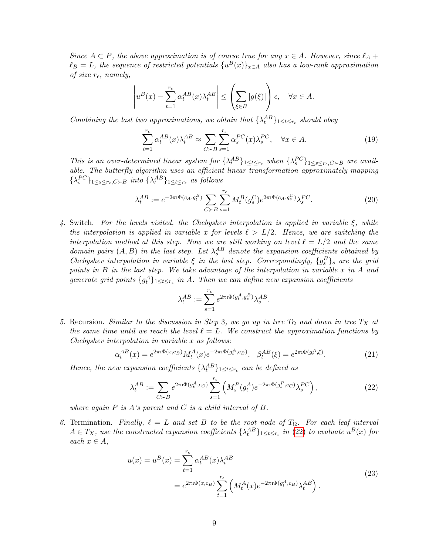Since  $A \subset P$ , the above approximation is of course true for any  $x \in A$ . However, since  $\ell_A$  +  $\ell_B = L$ , the sequence of restricted potentials  $\{u^B(x)\}_{x \in A}$  also has a low-rank approximation of size  $r_{\epsilon}$ , namely,

$$
\left| u^B(x) - \sum_{t=1}^{r_{\epsilon}} \alpha_t^{AB}(x) \lambda_t^{AB} \right| \le \left( \sum_{\xi \in B} |g(\xi)| \right) \epsilon, \quad \forall x \in A.
$$

Combining the last two approximations, we obtain that  $\{\lambda_t^{AB}\}_{1 \leq t \leq r_{\epsilon}}$  should obey

$$
\sum_{t=1}^{r_{\epsilon}} \alpha_t^{AB}(x) \lambda_t^{AB} \approx \sum_{C \succ B} \sum_{s=1}^{r_{\epsilon}} \alpha_s^{PC}(x) \lambda_s^{PC}, \quad \forall x \in A.
$$
 (19)

This is an over-determined linear system for  $\{\lambda_t^{AB}\}_{1\leq t\leq r_{\epsilon}}$  when  $\{\lambda_s^{PC}\}_{1\leq s\leq r_{\epsilon}, C\succ B}$  are available. The butterfly algorithm uses an efficient linear transformation approximately mapping  $\{\lambda_s^{PC}\}_{1 \leq s \leq r_{\epsilon}, C \succ B}$  into  $\{\lambda_t^{AB}\}_{1 \leq t \leq r_{\epsilon}}$  as follows

$$
\lambda_t^{AB} := e^{-2\pi i \Phi(c_A, g_t^B)} \sum_{C \succ B} \sum_{s=1}^{r_{\epsilon}} M_t^B(g_s^C) e^{2\pi i \Phi(c_A, g_s^C)} \lambda_s^{PC}.
$$
 (20)

4. Switch. For the levels visited, the Chebyshev interpolation is applied in variable  $\xi$ , while the interpolation is applied in variable x for levels  $\ell > L/2$ . Hence, we are switching the interpolation method at this step. Now we are still working on level  $\ell = L/2$  and the same domain pairs  $(A, B)$  in the last step. Let  $\lambda_s^{AB}$  denote the expansion coefficients obtained by Chebyshev interpolation in variable  $\xi$  in the last step. Correspondingly,  $\{g_s^B\}_s$  are the grid points in B in the last step. We take advantage of the interpolation in variable x in A and generate grid points  $\{g_t^A\}_{1 \leq t \leq r_{\epsilon}}$  in A. Then we can define new expansion coefficients

$$
\lambda_t^{AB} := \sum_{s=1}^{r_{\epsilon}} e^{2\pi \mathrm{i} \Phi(g_t^A, g_s^B)} \lambda_s^{AB}.
$$

5. Recursion. Similar to the discussion in Step 3, we go up in tree  $T_{\Omega}$  and down in tree  $T_X$  at the same time until we reach the level  $\ell = L$ . We construct the approximation functions by Chebyshev interpolation in variable x as follows:

$$
\alpha_t^{AB}(x) = e^{2\pi i \Phi(x,c_B)} M_t^A(x) e^{-2\pi i \Phi(g_t^A,c_B)}, \quad \beta_t^{AB}(\xi) = e^{2\pi i \Phi(g_t^A,\xi)}.
$$
 (21)

Hence, the new expansion coefficients  $\{\lambda_t^{AB}\}_{1 \leq t \leq r_{\epsilon}}$  can be defined as

<span id="page-8-0"></span>
$$
\lambda_t^{AB} := \sum_{C \succ B} e^{2\pi i \Phi(g_t^A, c_C)} \sum_{s=1}^{r_{\epsilon}} \left( M_s^P(g_t^A) e^{-2\pi i \Phi(g_s^P, c_C)} \lambda_s^{PC} \right), \tag{22}
$$

where again  $P$  is  $A$ 's parent and  $C$  is a child interval of  $B$ .

6. Termination. Finally,  $\ell = L$  and set B to be the root node of  $T_{\Omega}$ . For each leaf interval  $A \in T_X$ , use the constructed expansion coefficients  $\{\lambda_t^{AB}\}_{1 \leq t \leq r_{\epsilon}}$  in [\(22\)](#page-8-0) to evaluate  $u^B(x)$  for each  $x \in A$ ,

$$
u(x) = u^{B}(x) = \sum_{t=1}^{r_{\epsilon}} \alpha_{t}^{AB}(x) \lambda_{t}^{AB}
$$
  
=  $e^{2\pi i \Phi(x,c_{B})} \sum_{t=1}^{r_{\epsilon}} \left( M_{t}^{A}(x) e^{-2\pi i \Phi(g_{t}^{A},c_{B})} \lambda_{t}^{AB} \right).$  (23)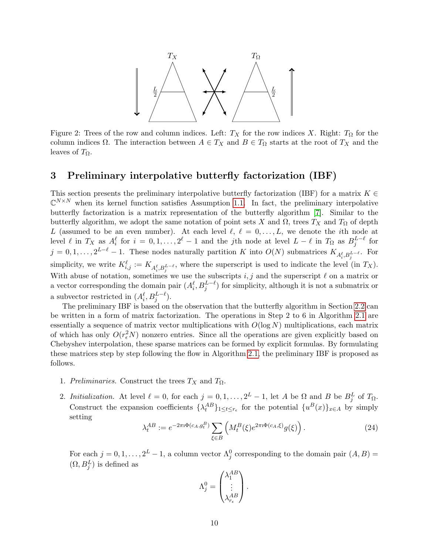<span id="page-9-1"></span>

Figure 2: Trees of the row and column indices. Left:  $T_X$  for the row indices X. Right:  $T_\Omega$  for the column indices  $\Omega$ . The interaction between  $A \in T_X$  and  $B \in T_\Omega$  starts at the root of  $T_X$  and the leaves of  $T_{\Omega}$ .

## <span id="page-9-0"></span>3 Preliminary interpolative butterfly factorization (IBF)

This section presents the preliminary interpolative butterfly factorization (IBF) for a matrix  $K \in$  $\mathbb{C}^{N\times N}$  when its kernel function satisfies Assumption [1.1.](#page-1-1) In fact, the preliminary interpolative butterfly factorization is a matrix representation of the butterfly algorithm [\[7\]](#page-26-0). Similar to the butterfly algorithm, we adopt the same notation of point sets X and  $\Omega$ , trees  $T_X$  and  $T_\Omega$  of depth L (assumed to be an even number). At each level  $\ell, \ell = 0, \ldots, L$ , we denote the *i*th node at level  $\ell$  in  $T_X$  as  $A_i^{\ell}$  for  $i = 0, 1, \ldots, 2^{\ell} - 1$  and the jth node at level  $L - \ell$  in  $T_{\Omega}$  as  $B_j^{L-\ell}$  for  $j = 0, 1, \ldots, 2^{L-\ell} - 1$ . These nodes naturally partition K into  $O(N)$  submatrices  $K_{A_i^{\ell}, B_j^{L-\ell}}$ . For simplicity, we write  $K_{i,j}^{\ell} := K_{A_i^{\ell}, B_j^{L-\ell}}$ , where the superscript is used to indicate the level (in  $T_X$ ). With abuse of notation, sometimes we use the subscripts  $i, j$  and the superscript  $\ell$  on a matrix or a vector corresponding the domain pair  $(A_i^{\ell}, B_j^{L-\ell})$  for simplicity, although it is not a submatrix or a subvector restricted in  $(A_i^{\ell}, B_j^{L-\ell}).$ 

The preliminary IBF is based on the observation that the butterfly algorithm in Section [2.2](#page-6-4) can be written in a form of matrix factorization. The operations in Step 2 to 6 in Algorithm [2.1](#page-7-0) are essentially a sequence of matrix vector multiplications with  $O(\log N)$  multiplications, each matrix of which has only  $O(r_{\epsilon}^2 N)$  nonzero entries. Since all the operations are given explicitly based on Chebyshev interpolation, these sparse matrices can be formed by explicit formulas. By formulating these matrices step by step following the flow in Algorithm [2.1,](#page-7-0) the preliminary IBF is proposed as follows.

- 1. Preliminaries. Construct the trees  $T_X$  and  $T_\Omega$ .
- 2. Initialization. At level  $\ell = 0$ , for each  $j = 0, 1, ..., 2^L 1$ , let A be  $\Omega$  and B be  $B_j^L$  of  $T_{\Omega}$ . Construct the expansion coefficients  $\{\lambda_t^{AB}\}_{1 \leq t \leq r_{\epsilon}}$  for the potential  $\{u^B(x)\}_{x \in A}$  by simply setting

<span id="page-9-2"></span>
$$
\lambda_t^{AB} := e^{-2\pi i \Phi(c_A, g_t^B)} \sum_{\xi \in B} \left( M_t^B(\xi) e^{2\pi i \Phi(c_A, \xi)} g(\xi) \right). \tag{24}
$$

For each  $j = 0, 1, ..., 2^L - 1$ , a column vector  $\Lambda_j^0$  corresponding to the domain pair  $(A, B)$  =  $(\Omega, B_j^L)$  is defined as

$$
\Lambda_j^0 = \begin{pmatrix} \lambda_1^{AB} \\ \vdots \\ \lambda_{r_{\epsilon}}^{AB} \end{pmatrix}.
$$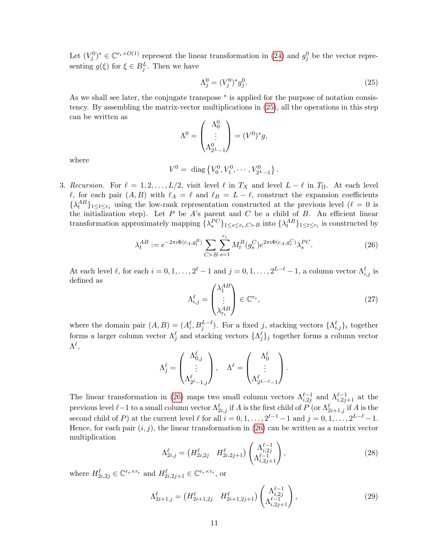Let  $(V_j^0)^* \in \mathbb{C}^{r_{\epsilon} \times O(1)}$  represent the linear transformation in [\(24\)](#page-9-2) and  $g_j^0$  be the vector representing  $g(\xi)$  for  $\xi \in B_j^L$ . Then we have

<span id="page-10-0"></span>
$$
\Lambda_j^0 = (V_j^0)^* g_j^0.
$$
\n(25)

As we shall see later, the conjugate transpose  $*$  is applied for the purpose of notation consistency. By assembling the matrix-vector multiplications in [\(25\)](#page-10-0), all the operations in this step can be written as

$$
\Lambda^0 = \begin{pmatrix} \Lambda_0^0 \\ \vdots \\ \Lambda_{2L-1}^0 \end{pmatrix} = (V^0)^* g,
$$

where

$$
V^0 = \text{ diag }\left\{V_0^0, V_1^0, \cdots, V_{2^L-1}^0\right\}.
$$

3. Recursion. For  $\ell = 1, 2, \ldots, L/2$ , visit level  $\ell$  in  $T_X$  and level  $L - \ell$  in  $T_\Omega$ . At each level  $\ell$ , for each pair  $(A, B)$  with  $\ell_A = \ell$  and  $\ell_B = L - \ell$ , construct the expansion coefficients  $\{\lambda_t^{AB}\}_{1\leq t\leq r_{\epsilon}}$  using the low-rank representation constructed at the previous level  $(\ell = 0$  is the initialization step). Let  $P$  be  $A$ 's parent and  $C$  be a child of  $B$ . An efficient linear transformation approximately mapping  $\{\lambda_s^{PC}\}_{1 \leq s \leq r_{\epsilon}, C \succ B}$  into  $\{\lambda_t^{AB}\}_{1 \leq t \leq r_{\epsilon}}$  is constructed by

<span id="page-10-1"></span>
$$
\lambda_t^{AB} := e^{-2\pi i \Phi(c_A, g_t^B)} \sum_{C \succ B} \sum_{s=1}^{r_{\epsilon}} M_t^B(g_s^C) e^{2\pi i \Phi(c_A, g_s^C)} \lambda_s^{PC}.
$$
 (26)

At each level  $\ell$ , for each  $i = 0, 1, \ldots, 2^{\ell} - 1$  and  $j = 0, 1, \ldots, 2^{L-\ell} - 1$ , a column vector  $\Lambda_{i,j}^{\ell}$  is defined as

$$
\Lambda_{i,j}^{\ell} = \begin{pmatrix} \lambda_1^{AB} \\ \vdots \\ \lambda_{r_{\epsilon}}^{AB} \end{pmatrix} \in \mathbb{C}^{r_{\epsilon}},
$$
\n(27)

where the domain pair  $(A, B) = (A_i^{\ell}, B_j^{L-\ell})$ . For a fixed j, stacking vectors  $\{\Lambda_{i,j}^{\ell}\}_i$  together forms a larger column vector  $\Lambda_j^{\ell}$  and stacking vectors  $\{\Lambda_j^{\ell}\}_j$  together forms a column vector  $\Lambda^\ell,$ 

$$
\Lambda_j^\ell=\begin{pmatrix} \Lambda_{0,j}^\ell\\ \vdots\\ \Lambda_{2^\ell-1,j}^\ell \end{pmatrix},\quad \Lambda^\ell=\begin{pmatrix} \Lambda_0^\ell\\ \vdots\\ \Lambda_{2^{L-\ell}-1}^\ell \end{pmatrix}.
$$

The linear transformation in [\(26\)](#page-10-1) maps two small column vectors  $\Lambda_{i,2j}^{\ell-1}$  and  $\Lambda_{i,2j+1}^{\ell-1}$  at the previous level  $\ell-1$  to a small column vector  $\Lambda_{2i,j}^{\ell}$  if  $A$  is the first child of  $P$  (or  $\Lambda_{2i+1,j}^{\ell}$  if  $A$  is the second child of P) at the current level  $\ell$  for all  $i = 0, 1, \ldots, 2^{\ell-1} - 1$  and  $j = 0, 1, \ldots, 2^{L-\ell} - 1$ . Hence, for each pair  $(i, j)$ , the linear transformation in [\(26\)](#page-10-1) can be written as a matrix vector multiplication

$$
\Lambda_{2i,j}^{\ell} = \left( H_{2i,2j}^{\ell} \quad H_{2i,2j+1}^{\ell} \right) \begin{pmatrix} \Lambda_{i,2j}^{\ell-1} \\ \Lambda_{i,2j+1}^{\ell-1} \end{pmatrix},\tag{28}
$$

where  $H_{2i,2j}^{\ell} \in \mathbb{C}^{r_{\epsilon} \times r_{\epsilon}}$  and  $H_{2i,2j+1}^{\ell} \in \mathbb{C}^{r_{\epsilon} \times r_{\epsilon}}$ , or

$$
\Lambda_{2i+1,j}^{\ell} = \begin{pmatrix} H_{2i+1,2j}^{\ell} & H_{2i+1,2j+1}^{\ell} \end{pmatrix} \begin{pmatrix} \Lambda_{i,2j}^{\ell-1} \\ \Lambda_{i,2j+1}^{\ell-1} \end{pmatrix},
$$
\n(29)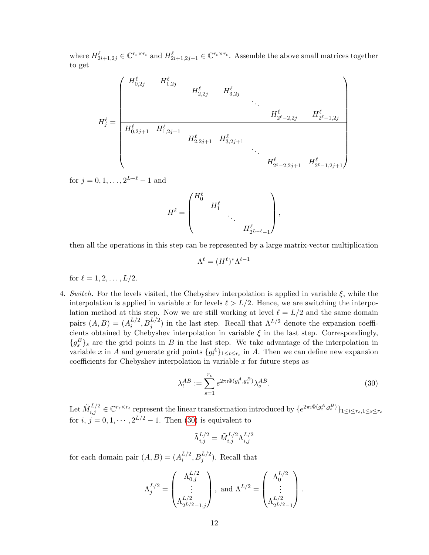where  $H_{2i+1,2j}^{\ell} \in \mathbb{C}^{r_{\epsilon} \times r_{\epsilon}}$  and  $H_{2i+1,2j+1}^{\ell} \in \mathbb{C}^{r_{\epsilon} \times r_{\epsilon}}$ . Assemble the above small matrices together to get

$$
H_j^\ell=\begin{pmatrix}H_{0,2j}^\ell&H_{1,2j}^\ell& & & & &\\ &H_{2,2j}^\ell&H_{3,2j}^\ell& &\\ &&&&\ddots&\\ &&&&H_{2^\ell-2,2j}^\ell&H_{2^\ell-1,2j}^\ell\\ \hline\\ H_{0,2j+1}^\ell&H_{1,2j+1}^\ell& & &\\ &&&&H_{2,2j+1}^\ell&H_{3,2j+1}^\ell\\ &&&&&\ddots&\\ &&&&&H_{2^\ell-2,2j+1}^\ell&H_{2^\ell-1,2j+1}^\ell\end{pmatrix}
$$

for  $j = 0, 1, \ldots, 2^{L-\ell} - 1$  and

$$
H^{\ell} = \begin{pmatrix} H_0^{\ell} & & & \\ & H_1^{\ell} & & \\ & & \ddots & \\ & & & H_{2^{L-\ell}-1}^{\ell} \end{pmatrix},
$$

then all the operations in this step can be represented by a large matrix-vector multiplication

$$
\Lambda^{\ell} = (H^{\ell})^* \Lambda^{\ell-1}
$$

for  $\ell = 1, 2, \ldots, L/2$ .

4. Switch. For the levels visited, the Chebyshev interpolation is applied in variable  $\xi$ , while the interpolation is applied in variable x for levels  $\ell > L/2$ . Hence, we are switching the interpolation method at this step. Now we are still working at level  $\ell = L/2$  and the same domain pairs  $(A, B) = (A_i^{L/2})$  $i^{L/2}, B_j^{L/2}$  in the last step. Recall that  $\Lambda^{L/2}$  denote the expansion coefficients obtained by Chebyshev interpolation in variable  $\xi$  in the last step. Correspondingly,  ${g_s^B}_s$  are the grid points in B in the last step. We take advantage of the interpolation in variable x in A and generate grid points  $\{g_t^A\}_{1 \leq t \leq r_{\epsilon}}$  in A. Then we can define new expansion coefficients for Chebyshev interpolation in variable  $x$  for future steps as

<span id="page-11-0"></span>
$$
\lambda_t^{AB} := \sum_{s=1}^{r_\epsilon} e^{2\pi \mathrm{i} \Phi(g_t^A, g_s^B)} \lambda_s^{AB}.
$$
\n(30)

Let  $\tilde{M}^{L/2}_{i,j} \in \mathbb{C}^{r_{\epsilon} \times r_{\epsilon}}$  represent the linear transformation introduced by  $\{e^{2\pi i \Phi(g_t^A, g_s^B)}\}_{1 \leq t \leq r_{\epsilon}, 1 \leq s \leq r_{\epsilon}}$ for  $i, j = 0, 1, \dots, 2^{L/2} - 1$ . Then [\(30\)](#page-11-0) is equivalent to

$$
\tilde{\Lambda}_{i,j}^{L/2} = \tilde{M}_{i,j}^{L/2} \Lambda_{i,j}^{L/2}
$$

for each domain pair  $(A, B) = (A_i^{L/2})$  $_{i}^{L/2}, B_{j}^{L/2}$ ). Recall that

$$
\Lambda_j^{L/2} = \begin{pmatrix} \Lambda_{0,j}^{L/2} \\ \vdots \\ \Lambda_{2^{L/2}-1,j}^{L/2} \end{pmatrix}, \text{ and } \Lambda^{L/2} = \begin{pmatrix} \Lambda_0^{L/2} \\ \vdots \\ \Lambda_{2^{L/2}-1}^{L/2} \end{pmatrix}.
$$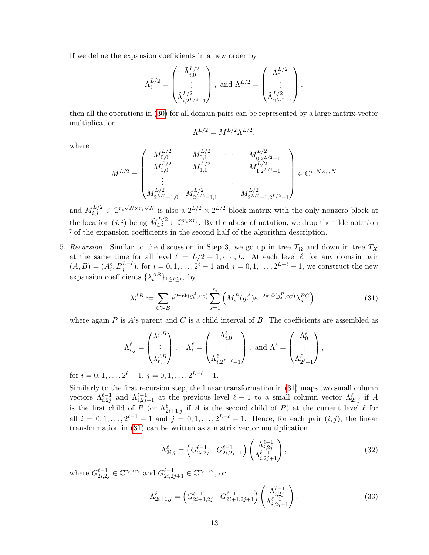If we define the expansion coefficients in a new order by

$$
\tilde{\Lambda}^{L/2}_i = \begin{pmatrix} \tilde{\Lambda}^{L/2}_{i,0} \\ \vdots \\ \tilde{\Lambda}^{L/2}_{i,2^{L/2}-1} \end{pmatrix}, \text{ and } \tilde{\Lambda}^{L/2} = \begin{pmatrix} \tilde{\Lambda}^{L/2}_0 \\ \vdots \\ \tilde{\Lambda}^{L/2}_{2^{L/2}-1} \end{pmatrix},
$$

then all the operations in [\(30\)](#page-11-0) for all domain pairs can be represented by a large matrix-vector multiplication

$$
\tilde{\Lambda}^{L/2} = M^{L/2} \Lambda^{L/2},
$$

where

$$
M^{L/2} = \begin{pmatrix} M_{0,0}^{L/2} & M_{0,1}^{L/2} & \cdots & M_{0,2^{L/2}-1}^{L/2} \\ M_{1,0}^{L/2} & M_{1,1}^{L/2} & & M_{1,2^{L/2}-1}^{L/2} \\ \vdots & & \ddots & \vdots \\ M_{2^{L/2}-1,0}^{L/2} & M_{2^{L/2}-1,1}^{L/2} & & M_{2^{L/2}-1,2^{L/2}-1}^{L/2} \end{pmatrix} \in \mathbb{C}^{r_{\epsilon}N \times r_{\epsilon}N}
$$

and  $M_{i,j}^{L/2} \in \mathbb{C}^{r_{\epsilon}\sqrt{N}\times r_{\epsilon}\sqrt{N}}$  is also a  $2^{L/2}\times 2^{L/2}$  block matrix with the only nonzero block at the location  $(j, i)$  being  $\tilde{M}_{i,j}^{L/2} \in \mathbb{C}^{r_{\epsilon} \times r_{\epsilon}}$ . By the abuse of notation, we drop the tilde notation  $\tilde{\cdot}$  of the expansion coefficients in the second half of the algorithm description.

5. Recursion. Similar to the discussion in Step 3, we go up in tree  $T_{\Omega}$  and down in tree  $T_X$ at the same time for all level  $\ell = L/2 + 1, \cdots, L$ . At each level  $\ell$ , for any domain pair  $(A, B) = (A_i^{\ell}, B_j^{L-\ell}),$  for  $i = 0, 1, ..., 2^{\ell} - 1$  and  $j = 0, 1, ..., 2^{L-\ell} - 1$ , we construct the new expansion coefficients  $\{\lambda_t^{AB}\}_{1 \leq t \leq r_{\epsilon}}$  by

<span id="page-12-0"></span>
$$
\lambda_t^{AB} := \sum_{C \succ B} e^{2\pi i \Phi(g_t^A, c_C)} \sum_{s=1}^{r_{\epsilon}} \left( M_s^P(g_t^A) e^{-2\pi i \Phi(g_s^P, c_C)} \lambda_s^{PC} \right), \tag{31}
$$

where again P is A's parent and C is a child interval of B. The coefficients are assembled as

$$
\Lambda_{i,j}^{\ell} = \begin{pmatrix} \lambda_1^{AB} \\ \vdots \\ \lambda_{r_{\epsilon}}^{AB} \end{pmatrix}, \quad \Lambda_i^{\ell} = \begin{pmatrix} \Lambda_{i,0}^{\ell} \\ \vdots \\ \Lambda_{i,2^{L-\ell}-1}^{\ell} \end{pmatrix}, \text{ and } \Lambda^{\ell} = \begin{pmatrix} \Lambda_0^{\ell} \\ \vdots \\ \Lambda_{2^{\ell}-1}^{\ell} \end{pmatrix},
$$

for  $i = 0, 1, \ldots, 2^{\ell} - 1, j = 0, 1, \ldots, 2^{L-\ell} - 1.$ 

Similarly to the first recursion step, the linear transformation in [\(31\)](#page-12-0) maps two small column vectors  $\Lambda_{i,2j}^{\ell-1}$  and  $\Lambda_{i,2j+1}^{\ell-1}$  at the previous level  $\ell-1$  to a small column vector  $\Lambda_{2i,j}^{\ell}$  if A is the first child of P (or  $\Lambda_{2i+1,j}^{\ell}$  if A is the second child of P) at the current level  $\ell$  for all  $i = 0, 1, \ldots, 2^{\ell-1} - 1$  and  $j = 0, 1, \ldots, 2^{L-\ell} - 1$ . Hence, for each pair  $(i, j)$ , the linear transformation in [\(31\)](#page-12-0) can be written as a matrix vector multiplication

$$
\Lambda_{2i,j}^{\ell} = \begin{pmatrix} G_{2i,2j}^{\ell-1} & G_{2i,2j+1}^{\ell-1} \end{pmatrix} \begin{pmatrix} \Lambda_{i,2j}^{\ell-1} \\ \Lambda_{i,2j+1}^{\ell-1} \end{pmatrix},
$$
\n(32)

where  $G_{2i,2j}^{\ell-1} \in \mathbb{C}^{r_{\epsilon} \times r_{\epsilon}}$  and  $G_{2i,2j+1}^{\ell-1} \in \mathbb{C}^{r_{\epsilon} \times r_{\epsilon}}$ , or

$$
\Lambda_{2i+1,j}^{\ell} = \begin{pmatrix} G_{2i+1,2j}^{\ell-1} & G_{2i+1,2j+1}^{\ell-1} \end{pmatrix} \begin{pmatrix} \Lambda_{i,2j}^{\ell-1} \\ \Lambda_{i,2j+1}^{\ell-1} \end{pmatrix},
$$
\n(33)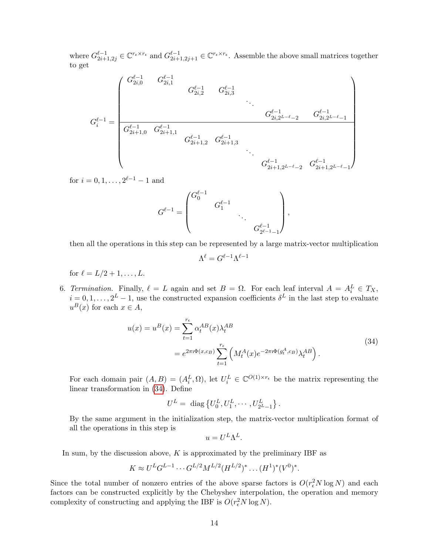where  $G_{2i+1,2j}^{\ell-1} \in \mathbb{C}^{r_{\epsilon} \times r_{\epsilon}}$  and  $G_{2i+1,2j+1}^{\ell-1} \in \mathbb{C}^{r_{\epsilon} \times r_{\epsilon}}$ . Assemble the above small matrices together to get

$$
G_i^{\ell-1} = \begin{pmatrix} G_{2i,0}^{\ell-1} & G_{2i,1}^{\ell-1} & & & & \\ & G_{2i,2}^{\ell-1} & G_{2i,3}^{\ell-1} & & & \\ & & \ddots & & & \\ G_i^{\ell-1} = \begin{pmatrix} & & & \\ & G_{2i+1,0}^{\ell-1} & G_{2i+1,1}^{\ell-1} & & \\ & & G_{2i+1,2}^{\ell-1} & G_{2i+1,3}^{\ell-1} & \\ & & \ddots & & \\ & & & G_{2i+1,2}^{\ell-1} & G_{2i+1,2}^{\ell-1} & \\ & & & \ddots & \\ & & & & G_{2i+1,2^{L-\ell}-2}^{\ell-1} & G_{2i+1,2^{L-\ell}-1}^{\ell-1} \end{pmatrix} \end{pmatrix}
$$

for  $i = 0, 1, \ldots, 2^{\ell-1} - 1$  and

$$
G^{\ell-1}=\begin{pmatrix} G_0^{\ell-1} &&&&\\ &G_1^{\ell-1}&&\\ &&\ddots&\\ &&&&G_{2^{\ell-1}-1}^{\ell-1} \end{pmatrix},
$$

then all the operations in this step can be represented by a large matrix-vector multiplication

$$
\Lambda^\ell=G^{\ell-1}\Lambda^{\ell-1}
$$

for  $\ell = L/2 + 1, \ldots, L$ .

6. Termination. Finally,  $\ell = L$  again and set  $B = \Omega$ . For each leaf interval  $A = A_i^L \in T_X$ ,  $i = 0, 1, \ldots, 2^L - 1$ , use the constructed expansion coefficients  $\delta^L$  in the last step to evaluate  $u^B(x)$  for each  $x \in A$ ,

$$
u(x) = u^{B}(x) = \sum_{t=1}^{r_{\epsilon}} \alpha_{t}^{AB}(x) \lambda_{t}^{AB}
$$
  
=  $e^{2\pi i \Phi(x,c_{B})} \sum_{t=1}^{r_{\epsilon}} \left( M_{t}^{A}(x) e^{-2\pi i \Phi(g_{t}^{A},c_{B})} \lambda_{t}^{AB} \right).$  (34)

<span id="page-13-0"></span>For each domain pair  $(A, B) = (A_i^L, \Omega)$ , let  $U_i^L \in \mathbb{C}^{O(1) \times r_{\epsilon}}$  be the matrix representing the linear transformation in [\(34\)](#page-13-0). Define

$$
U^{L} = \text{ diag }\{U_0^{L}, U_1^{L}, \cdots, U_{2^L-1}^{L}\}.
$$

By the same argument in the initialization step, the matrix-vector multiplication format of all the operations in this step is

$$
u = U^L \Lambda^L.
$$

In sum, by the discussion above,  $K$  is approximated by the preliminary IBF as

$$
K \approx U^{L}G^{L-1}\cdots G^{L/2}M^{L/2}(H^{L/2})^{*}\ldots (H^{1})^{*}(V^{0})^{*}.
$$

Since the total number of nonzero entries of the above sparse factors is  $O(r<sub>\epsilon</sub><sup>2</sup>N \log N)$  and each factors can be constructed explicitly by the Chebyshev interpolation, the operation and memory complexity of constructing and applying the IBF is  $O(r<sub>\epsilon</sub><sup>2</sup>N \log N)$ .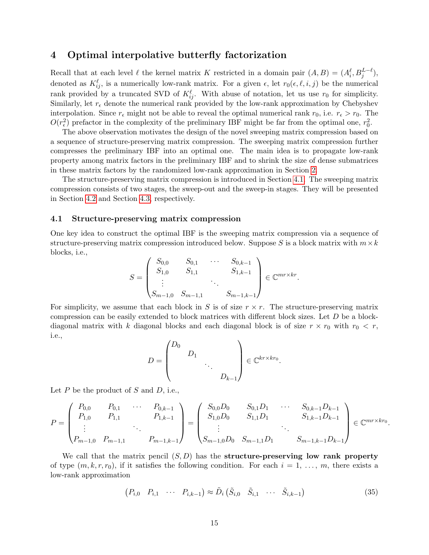## <span id="page-14-0"></span>4 Optimal interpolative butterfly factorization

Recall that at each level  $\ell$  the kernel matrix K restricted in a domain pair  $(A, B) = (A_i^{\ell}, B_j^{L-\ell}),$ denoted as  $K^{\ell}_{ij}$ , is a numerically low-rank matrix. For a given  $\epsilon$ , let  $r_0(\epsilon, \ell, i, j)$  be the numerical rank provided by a truncated SVD of  $K_{ij}^{\ell}$ . With abuse of notation, let us use  $r_0$  for simplicity. Similarly, let  $r_{\epsilon}$  denote the numerical rank provided by the low-rank approximation by Chebyshev interpolation. Since  $r_{\epsilon}$  might not be able to reveal the optimal numerical rank  $r_0$ , i.e.  $r_{\epsilon} > r_0$ . The  $O(r_{\epsilon}^2)$  prefactor in the complexity of the preliminary IBF might be far from the optimal one,  $r_0^2$ .

The above observation motivates the design of the novel sweeping matrix compression based on a sequence of structure-preserving matrix compression. The sweeping matrix compression further compresses the preliminary IBF into an optimal one. The main idea is to propagate low-rank property among matrix factors in the preliminary IBF and to shrink the size of dense submatrices in these matrix factors by the randomized low-rank approximation in Section [2.](#page-4-0)

The structure-preserving matrix compression is introduced in Section [4.1.](#page-14-1) The sweeping matrix compression consists of two stages, the sweep-out and the sweep-in stages. They will be presented in Section [4.2](#page-15-0) and Section [4.3,](#page-19-0) respectively.

#### <span id="page-14-1"></span>4.1 Structure-preserving matrix compression

One key idea to construct the optimal IBF is the sweeping matrix compression via a sequence of structure-preserving matrix compression introduced below. Suppose S is a block matrix with  $m \times k$ blocks, i.e.,

$$
S = \begin{pmatrix} S_{0,0} & S_{0,1} & \cdots & S_{0,k-1} \\ S_{1,0} & S_{1,1} & & S_{1,k-1} \\ \vdots & & \ddots & \vdots \\ S_{m-1,0} & S_{m-1,1} & & S_{m-1,k-1} \end{pmatrix} \in \mathbb{C}^{mr \times kr}.
$$

For simplicity, we assume that each block in S is of size  $r \times r$ . The structure-preserving matrix compression can be easily extended to block matrices with different block sizes. Let D be a blockdiagonal matrix with k diagonal blocks and each diagonal block is of size  $r \times r_0$  with  $r_0 \lt r$ , i.e.,

$$
D = \begin{pmatrix} D_0 & & & \\ & D_1 & & \\ & & \ddots & \\ & & & D_{k-1} \end{pmatrix} \in \mathbb{C}^{kr \times kr_0}.
$$

Let  $P$  be the product of  $S$  and  $D$ , i.e.,

$$
P = \begin{pmatrix} P_{0,0} & P_{0,1} & \cdots & P_{0,k-1} \\ P_{1,0} & P_{1,1} & P_{1,k-1} \\ \vdots & \vdots & \ddots & \vdots \\ P_{m-1,0} & P_{m-1,1} & P_{m-1,k-1} \end{pmatrix} = \begin{pmatrix} S_{0,0}D_0 & S_{0,1}D_1 & \cdots & S_{0,k-1}D_{k-1} \\ S_{1,0}D_0 & S_{1,1}D_1 & S_{1,k-1}D_{k-1} \\ \vdots & \vdots & \ddots & \vdots \\ S_{m-1,0}D_0 & S_{m-1,1}D_1 & S_{m-1,k-1}D_{k-1} \end{pmatrix} \in \mathbb{C}^{mr \times kr_0}.
$$

We call that the matrix pencil  $(S, D)$  has the **structure-preserving low rank property** of type  $(m, k, r, r_0)$ , if it satisfies the following condition. For each  $i = 1, \ldots, m$ , there exists a low-rank approximation

<span id="page-14-2"></span>
$$
(P_{i,0} \quad P_{i,1} \quad \cdots \quad P_{i,k-1}) \approx \tilde{D}_i \left( \tilde{S}_{i,0} \quad \tilde{S}_{i,1} \quad \cdots \quad \tilde{S}_{i,k-1} \right) \tag{35}
$$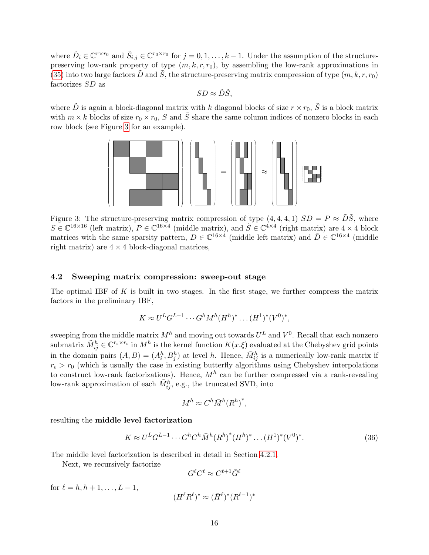where  $\tilde{D}_i \in \mathbb{C}^{r \times r_0}$  and  $\tilde{S}_{i,j} \in \mathbb{C}^{r_0 \times r_0}$  for  $j = 0, 1, \ldots, k - 1$ . Under the assumption of the structurepreserving low-rank property of type  $(m, k, r, r_0)$ , by assembling the low-rank approximations in [\(35\)](#page-14-2) into two large factors D and S, the structure-preserving matrix compression of type  $(m, k, r, r_0)$ factorizes SD as

$$
SD \approx \tilde{D}\tilde{S},
$$

<span id="page-15-1"></span>where  $\tilde{D}$  is again a block-diagonal matrix with k diagonal blocks of size  $r \times r_0$ ,  $\tilde{S}$  is a block matrix with  $m \times k$  blocks of size  $r_0 \times r_0$ , S and  $\tilde{S}$  share the same column indices of nonzero blocks in each row block (see Figure [3](#page-15-1) for an example).



Figure 3: The structure-preserving matrix compression of type  $(4, 4, 4, 1)$   $SD = P \approx \tilde{D}\tilde{S}$ , where  $S \in \mathbb{C}^{16\times16}$  (left matrix),  $P \in \mathbb{C}^{16\times4}$  (middle matrix), and  $\tilde{S} \in \mathbb{C}^{4\times4}$  (right matrix) are  $4 \times 4$  block matrices with the same sparsity pattern,  $D \in \mathbb{C}^{16\times4}$  (middle left matrix) and  $\tilde{D} \in \mathbb{C}^{16\times4}$  (middle right matrix) are  $4 \times 4$  block-diagonal matrices,

### <span id="page-15-0"></span>4.2 Sweeping matrix compression: sweep-out stage

The optimal IBF of  $K$  is built in two stages. In the first stage, we further compress the matrix factors in the preliminary IBF,

$$
K \approx U^{L}G^{L-1}\cdots G^{h}M^{h}(H^{h})^{*}\ldots (H^{1})^{*}(V^{0})^{*},
$$

sweeping from the middle matrix  $M^h$  and moving out towards  $U^L$  and  $V^0$ . Recall that each nonzero submatrix  $\tilde{M}_{ij}^h \in \mathbb{C}^{r_{\epsilon} \times r_{\epsilon}}$  in  $M^h$  is the kernel function  $K(x.\xi)$  evaluated at the Chebyshev grid points in the domain pairs  $(A, B) = (A_i^h, B_j^h)$  at level h. Hence,  $\tilde{M}_{ij}^h$  is a numerically low-rank matrix if  $r_{\epsilon} > r_0$  (which is usually the case in existing butterfly algorithms using Chebyshev interpolations to construct low-rank factorizations). Hence,  $M<sup>h</sup>$  can be further compressed via a rank-revealing low-rank approximation of each  $\tilde{M}_{ij}^h$ , e.g., the truncated SVD, into

$$
M^h \approx C^h \bar{M}^h (R^h)^*,
$$

resulting the middle level factorization

$$
K \approx U^{L} G^{L-1} \cdots G^{h} C^{h} \bar{M}^{h} (R^{h})^{*} (H^{h})^{*} \cdots (H^{1})^{*} (V^{0})^{*}.
$$
\n(36)

The middle level factorization is described in detail in Section [4.2.1.](#page-16-0)

Next, we recursively factorize

$$
G^{\ell}C^{\ell} \approx C^{\ell+1}\bar{G}^{\ell}
$$

for  $\ell = h, h + 1, \ldots, L - 1$ ,

$$
(H^\ell R^\ell)^* \approx (\bar H^\ell)^*(R^{\ell-1})^*
$$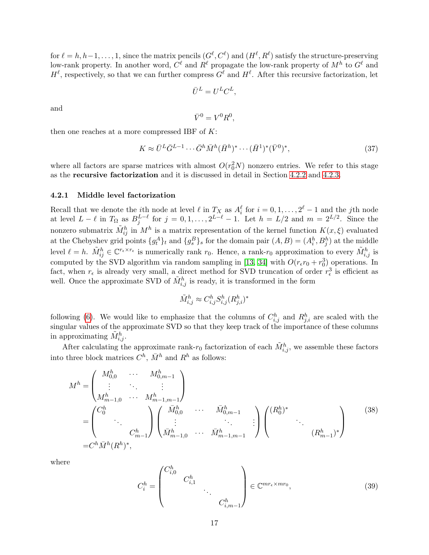for  $\ell = h, h-1, \ldots, 1$ , since the matrix pencils  $(G^{\ell}, C^{\ell})$  and  $(H^{\ell}, R^{\ell})$  satisfy the structure-preserving low-rank property. In another word,  $C^{\ell}$  and  $R^{\ell}$  propagate the low-rank property of  $M^{h}$  to  $G^{\ell}$  and  $H^{\ell}$ , respectively, so that we can further compress  $G^{\ell}$  and  $H^{\ell}$ . After this recursive factorization, let

$$
\bar{U}^L = U^L C^L,
$$

and

$$
\bar{V}^0 = V^0 R^0,
$$

then one reaches at a more compressed IBF of  $K$ :

$$
K \approx \bar{U}^L \bar{G}^{L-1} \cdots \bar{G}^h \bar{M}^h (\bar{H}^h)^* \cdots (\bar{H}^1)^* (\bar{V}^0)^*,
$$
\n
$$
(37)
$$

where all factors are sparse matrices with almost  $O(r_0^2N)$  nonzero entries. We refer to this stage as the recursive factorization and it is discussed in detail in Section [4.2.2](#page-17-0) and [4.2.3.](#page-19-1)

#### <span id="page-16-0"></span>4.2.1 Middle level factorization

Recall that we denote the *i*<sup>th</sup> node at level  $\ell$  in  $T_X$  as  $A_i^{\ell}$  for  $i = 0, 1, ..., 2^{\ell} - 1$  and the *j*th node at level  $L - \ell$  in  $T_{\Omega}$  as  $B_j^{L-\ell}$  for  $j = 0, 1, \ldots, 2^{L-\ell} - 1$ . Let  $h = L/2$  and  $m = 2^{L/2}$ . Since the nonzero submatrix  $\tilde{M}_{ij}^h$  in  $M^h$  is a matrix representation of the kernel function  $K(x,\xi)$  evaluated at the Chebyshev grid points  $\{g_t^A\}_t$  and  $\{g_s^B\}_s$  for the domain pair  $(A, B) = (A_i^h, B_j^h)$  at the middle level  $\ell = h$ .  $\tilde{M}_{ij}^h \in \mathbb{C}^{r_{\epsilon} \times r_{\epsilon}}$  is numerically rank  $r_0$ . Hence, a rank- $r_0$  approximation to every  $\tilde{M}_{i,j}^h$  is computed by the SVD algorithm via random sampling in [\[13,](#page-27-14) [34\]](#page-28-8) with  $O(r_{\epsilon}r_0 + r_0^3)$  operations. In fact, when  $r_{\epsilon}$  is already very small, a direct method for SVD truncation of order  $r_{\epsilon}^3$  is efficient as well. Once the approximate SVD of  $\tilde{M}_{i,j}^h$  is ready, it is transformed in the form

$$
\tilde{M}_{i,j}^h \approx C_{i,j}^h S_{i,j}^h (R_{j,i}^h)^*
$$

following [\(6\)](#page-4-1). We would like to emphasize that the columns of  $C_{i,j}^h$  and  $R_{j,i}^h$  are scaled with the singular values of the approximate SVD so that they keep track of the importance of these columns in approximating  $\tilde{M}_{i,j}^h$ .

After calculating the approximate rank- $r_0$  factorization of each  $\tilde{M}^h_{i,j}$ , we assemble these factors into three block matrices  $C^h$ ,  $\bar{M}^h$  and  $R^h$  as follows:

$$
M^{h} = \begin{pmatrix} M_{0,0}^{h} & \cdots & M_{0,m-1}^{h} \\ \vdots & \ddots & \vdots \\ M_{m-1,0}^{h} & \cdots & M_{m-1,m-1}^{h} \end{pmatrix}
$$
  
= 
$$
\begin{pmatrix} C_{0}^{h} & & & \bar{M}_{0,0}^{h} & \cdots & \bar{M}_{0,m-1}^{h} \\ \vdots & & \ddots & \vdots \\ C_{m-1}^{h} & & M_{m-1,0}^{h} & \cdots & \bar{M}_{m-1,m-1}^{h} \end{pmatrix} \begin{pmatrix} (R_{0}^{h})^{*} & & & \\ & \ddots & & \\ & & (R_{m-1}^{h})^{*} \end{pmatrix}
$$
 (38)

where

<span id="page-16-1"></span>
$$
C_i^h = \begin{pmatrix} C_{i,0}^h & & & \\ & C_{i,1}^h & & \\ & & \ddots & \\ & & & C_{i,m-1}^h \end{pmatrix} \in \mathbb{C}^{mr_{\epsilon} \times mr_0},\tag{39}
$$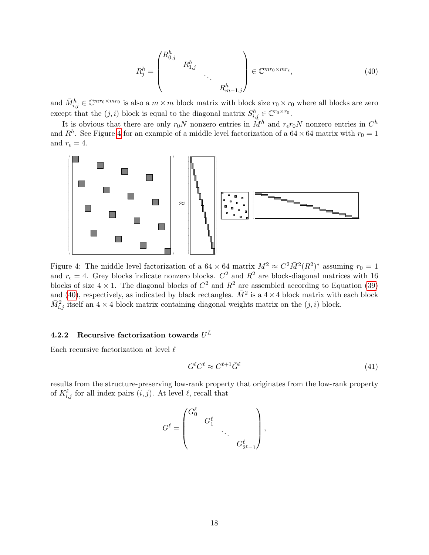<span id="page-17-2"></span>
$$
R_j^h = \begin{pmatrix} R_{0,j}^h & & & \\ & R_{1,j}^h & & \\ & & \ddots & \\ & & & R_{m-1,j}^h \end{pmatrix} \in \mathbb{C}^{mr_0 \times mr_{\epsilon}},\tag{40}
$$

and  $\bar{M}_{i,j}^h \in \mathbb{C}^{mr_0 \times mr_0}$  is also a  $m \times m$  block matrix with block size  $r_0 \times r_0$  where all blocks are zero except that the  $(j, i)$  block is equal to the diagonal matrix  $S_{i,j}^h \in \mathbb{C}^{r_0 \times r_0}$ .

It is obvious that there are only  $r_0N$  nonzero entries in  $\tilde{M}^h$  and  $r_{\epsilon}r_0N$  nonzero entries in  $C^h$ and  $R<sup>h</sup>$ . See Figure [4](#page-17-1) for an example of a middle level factorization of a 64  $\times$  64 matrix with  $r_0 = 1$ and  $r_{\epsilon} = 4$ .

<span id="page-17-1"></span>

Figure 4: The middle level factorization of a  $64 \times 64$  matrix  $M^2 \approx C^2 \bar{M}^2 (R^2)^*$  assuming  $r_0 = 1$ and  $r_{\epsilon} = 4$ . Grey blocks indicate nonzero blocks.  $C^2$  and  $R^2$  are block-diagonal matrices with 16 blocks of size  $4 \times 1$ . The diagonal blocks of  $C^2$  and  $R^2$  are assembled according to Equation [\(39\)](#page-16-1) and [\(40\)](#page-17-2), respectively, as indicated by black rectangles.  $\bar{M}^2$  is a 4 × 4 block matrix with each block  $\bar{M}_{i,j}^2$  itself an  $4 \times 4$  block matrix containing diagonal weights matrix on the  $(j, i)$  block.

## <span id="page-17-0"></span>4.2.2 Recursive factorization towards  $U^L$

Each recursive factorization at level  $\ell$ 

$$
G^{\ell}C^{\ell} \approx C^{\ell+1}\bar{G}^{\ell} \tag{41}
$$

results from the structure-preserving low-rank property that originates from the low-rank property of  $K_{i,j}^{\ell}$  for all index pairs  $(i, j)$ . At level  $\ell$ , recall that

$$
G^{\ell} = \begin{pmatrix} G^{\ell}_0 & & & \\ & G^{\ell}_1 & & \\ & & \ddots & \\ & & & G^{\ell}_{2^{\ell}-1} \end{pmatrix},
$$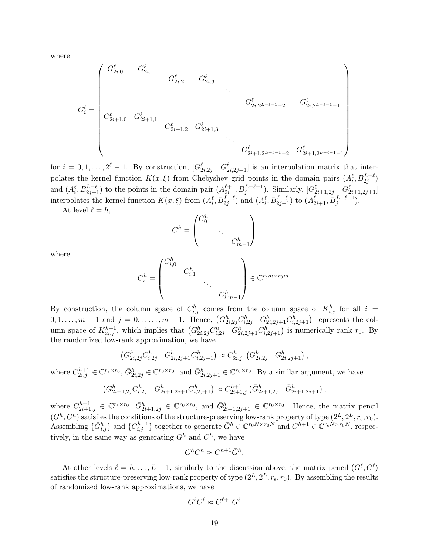where

$$
G_i^{\ell} = \begin{pmatrix} G_{2i,0}^{\ell} & G_{2i,1}^{\ell} & & & & \\ & G_{2i,2}^{\ell} & G_{2i,3}^{\ell} & & \\ & & \ddots & & \\ G_{2i+1,0}^{\ell} & G_{2i+1,1}^{\ell} & & \\ & & & G_{2i+1,2}^{\ell} & G_{2i+1,3}^{\ell} & \\ & & & & \ddots & \\ & & & & & G_{2i+1,2}^{\ell} & \\ & & & & & & G_{2i+1,2^{L-\ell-1}-2}^{\ell} & G_{2i+1,2^{L-\ell-1}-1}^{\ell} \end{pmatrix}
$$

for  $i = 0, 1, \ldots, 2^{\ell} - 1$ . By construction,  $[G_{2i,2j}^{\ell} \quad G_{2i,2j+1}^{\ell}]$  is an interpolation matrix that interpolates the kernel function  $K(x,\xi)$  from Chebyshev grid points in the domain pairs  $(A_i^{\ell}, B_{2j}^{L-\ell})$ and  $(A_i^{\ell}, B_{2j+1}^{L-\ell})$  to the points in the domain pair  $(A_{2i}^{\ell+1}, B_j^{L-\ell-1})$ . Similarly,  $[G_{2i+1,2j}^{\ell} \quad G_{2i+1,2j+1}^{\ell}]$ interpolates the kernel function  $K(x,\xi)$  from  $(A_i^{\ell}, B_{2j}^{L-\ell})$  and  $(A_i^{\ell}, B_{2j+1}^{L-\ell})$  to  $(A_{2i+1}^{\ell+1}, B_j^{L-\ell-1})$ .

At level  $\ell = h$ ,

$$
C^h = \begin{pmatrix} C_0^h & & & \\ & \ddots & & \\ & & C_{m-1}^h \end{pmatrix}
$$

where

$$
C_i^h = \begin{pmatrix} C_{i,0}^h & & & \\ & C_{i,1}^h & & \\ & & \ddots & \\ & & & C_{i,m-1}^h \end{pmatrix} \in \mathbb{C}^{r_{\epsilon}m \times r_0m}.
$$

By construction, the column space of  $C_{i,j}^h$  comes from the column space of  $K_{i,j}^h$  for all  $i =$  $0, 1, \ldots, m-1$  and  $j = 0, 1, \ldots, m-1$ . Hence,  $(G_{2i,2j}^h C_{i,2j}^h G_{2i,2j+1}^h C_{i,2j+1}^h)$  represents the column space of  $K_{2i,j}^{h+1}$ , which implies that  $(G_{2i,2j}^h C_{i,2j}^h G_{2i,2j+1}^h C_{i,2j+1}^h)$  is numerically rank  $r_0$ . By the randomized low-rank approximation, we have

$$
\left(G_{2i,2j}^h C_{i,2j}^h \quad G_{2i,2j+1}^h C_{i,2j+1}^h\right) \approx C_{2i,j}^{h+1} \left(\bar{G}_{2i,2j}^h \quad \bar{G}_{2i,2j+1}^h\right),
$$

where  $C_{2i,j}^{h+1} \in \mathbb{C}^{r_{\epsilon} \times r_0}$ ,  $\bar{G}_{2i,2j}^h \in \mathbb{C}^{r_0 \times r_0}$ , and  $\bar{G}_{2i,2j+1}^h \in \mathbb{C}^{r_0 \times r_0}$ . By a similar argument, we have

$$
\left(G_{2i+1,2j}^h C_{i,2j}^h \quad G_{2i+1,2j+1}^h C_{i,2j+1}^h\right) \approx C_{2i+1,j}^{h+1} \left(\bar{G}_{2i+1,2j}^h \quad \bar{G}_{2i+1,2j+1}^h\right),
$$

where  $C_{2i+1,j}^{h+1} \in \mathbb{C}^{r_{\epsilon} \times r_0}$ ,  $\bar{G}_{2i+1,2j}^h \in \mathbb{C}^{r_0 \times r_0}$ , and  $\bar{G}_{2i+1,2j+1}^h \in \mathbb{C}^{r_0 \times r_0}$ . Hence, the matrix pencil  $(G^h, C^h)$  satisfies the conditions of the structure-preserving low-rank property of type  $(2^L, 2^L, r_{\epsilon}, r_0)$ . Assembling  $\{\bar{G}_{i,j}^h\}$  and  $\{C_{i,j}^{h+1}\}$  together to generate  $\bar{G}^h \in \mathbb{C}^{r_0N \times r_0N}$  and  $C^{h+1} \in \mathbb{C}^{r_{\epsilon}N \times r_0N}$ , respectively, in the same way as generating  $G^h$  and  $C^h$ , we have

$$
G^h C^h \approx C^{h+1} \bar{G}^h.
$$

At other levels  $\ell = h, \ldots, L-1$ , similarly to the discussion above, the matrix pencil  $(G^{\ell}, C^{\ell})$ satisfies the structure-preserving low-rank property of type  $(2^L, 2^L, r_\epsilon, r_0)$ . By assembling the results of randomized low-rank approximations, we have

$$
G^\ell C^\ell \approx C^{\ell+1} \bar G^\ell
$$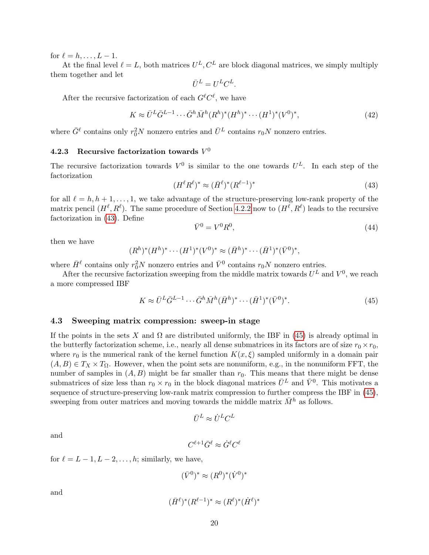for  $\ell = h, \ldots, L - 1$ .

At the final level  $\ell = L$ , both matrices  $U^L, C^L$  are block diagonal matrices, we simply multiply them together and let

$$
\bar{U}^L = U^L C^L.
$$

After the recursive factorization of each  $G^{\ell}C^{\ell}$ , we have

$$
K \approx \bar{U}^L \bar{G}^{L-1} \cdots \bar{G}^h \bar{M}^h (R^h)^* (H^h)^* \cdots (H^1)^* (V^0)^*,
$$
\n(42)

where  $\bar{G}^{\ell}$  contains only  $r_0^2N$  nonzero entries and  $\bar{U}^L$  contains  $r_0N$  nonzero entries.

## <span id="page-19-1"></span>4.2.3 Recursive factorization towards  $V^0$

The recursive factorization towards  $V^0$  is similar to the one towards  $U^L$ . In each step of the factorization

<span id="page-19-2"></span>
$$
(H^{\ell}R^{\ell})^* \approx (\bar{H}^{\ell})^*(R^{\ell-1})^*
$$
\n
$$
(43)
$$

for all  $\ell = h, h + 1, \ldots, 1$ , we take advantage of the structure-preserving low-rank property of the matrix pencil  $(H^{\ell}, R^{\ell})$ . The same procedure of Section [4.2.2](#page-17-0) now to  $(H^{\ell}, R^{\ell})$  leads to the recursive factorization in [\(43\)](#page-19-2). Define

$$
\bar{V}^0 = V^0 R^0,\tag{44}
$$

then we have

$$
(R^h)^*(H^h)^* \cdots (H^1)^*(V^0)^* \approx (\bar{H}^h)^* \cdots (\bar{H}^1)^*(\bar{V}^0)^*,
$$

where  $\bar{H}^{\ell}$  contains only  $r_0^2 N$  nonzero entries and  $\bar{V}^0$  contains  $r_0 N$  nonzero entries.

After the recursive factorization sweeping from the middle matrix towards  $U^L$  and  $V^0$ , we reach a more compressed IBF

<span id="page-19-3"></span>
$$
K \approx \bar{U}^L \bar{G}^{L-1} \cdots \bar{G}^h \bar{M}^h (\bar{H}^h)^* \cdots (\bar{H}^1)^* (\bar{V}^0)^*.
$$
\n(45)

#### <span id="page-19-0"></span>4.3 Sweeping matrix compression: sweep-in stage

If the points in the sets X and  $\Omega$  are distributed uniformly, the IBF in [\(45\)](#page-19-3) is already optimal in the butterfly factorization scheme, i.e., nearly all dense submatrices in its factors are of size  $r_0 \times r_0$ , where  $r_0$  is the numerical rank of the kernel function  $K(x, \xi)$  sampled uniformly in a domain pair  $(A, B) \in T_X \times T_\Omega$ . However, when the point sets are nonuniform, e.g., in the nonuniform FFT, the number of samples in  $(A, B)$  might be far smaller than  $r_0$ . This means that there might be dense submatrices of size less than  $r_0 \times r_0$  in the block diagonal matrices  $\bar{U}^L$  and  $\bar{V}^0$ . This motivates a sequence of structure-preserving low-rank matrix compression to further compress the IBF in [\(45\)](#page-19-3), sweeping from outer matrices and moving towards the middle matrix  $\bar{M}^h$  as follows.

$$
\bar{U}^L \approx \dot{U}^L C^L
$$

and

$$
C^{\ell+1}\bar{G}^{\ell} \approx \dot{G}^{\ell}C^{\ell}
$$

for  $\ell = L - 1, L - 2, \ldots, h$ ; similarly, we have,

$$
(\bar{V}^0)^* \approx (R^0)^* (\dot{V}^0)^*
$$

and

$$
(\bar{H}^{\ell})^*(R^{\ell-1})^* \approx (R^{\ell})^*(\dot{H}^{\ell})^*
$$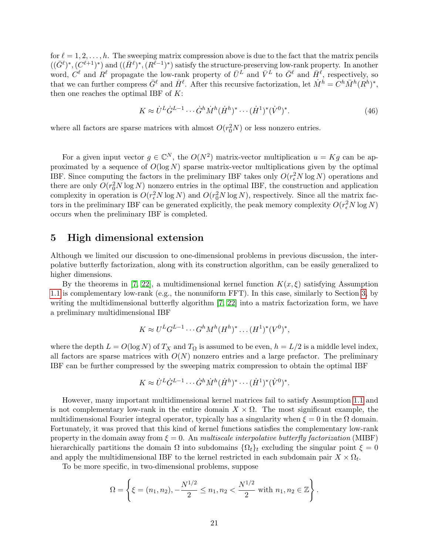for  $\ell = 1, 2, \ldots, h$ . The sweeping matrix compression above is due to the fact that the matrix pencils  $((\bar{G}^{\ell})^*,(C^{\ell+1})^*)$  and  $((\bar{H}^{\ell})^*,(R^{\ell-1})^*)$  satisfy the structure-preserving low-rank property. In another word,  $C^{\ell}$  and  $R^{\ell}$  propagate the low-rank property of  $\bar{U}^L$  and  $\bar{V}^L$  to  $\bar{G}^{\ell}$  and  $\bar{H}^{\ell}$ , respectively, so that we can further compress  $\bar{G}^{\ell}$  and  $\bar{H}^{\ell}$ . After this recursive factorization, let  $\dot{M}^h = C^h \bar{M}^h (R^h)^*$ , then one reaches the optimal IBF of  $K$ :

$$
K \approx \dot{U}^L \dot{G}^{L-1} \cdots \dot{G}^h \dot{M}^h (\dot{H}^h)^* \cdots (\dot{H}^1)^* (\dot{V}^0)^*.
$$
 (46)

where all factors are sparse matrices with almost  $O(r_0^2N)$  or less nonzero entries.

For a given input vector  $g \in \mathbb{C}^N$ , the  $O(N^2)$  matrix-vector multiplication  $u = Kg$  can be approximated by a sequence of  $O(\log N)$  sparse matrix-vector multiplications given by the optimal IBF. Since computing the factors in the preliminary IBF takes only  $O(r_e^2 N \log N)$  operations and there are only  $O(r_0^2 N \log N)$  nonzero entries in the optimal IBF, the construction and application complexity in operation is  $O(r_{\epsilon}^2 N \log N)$  and  $O(r_0^2 N \log N)$ , respectively. Since all the matrix factors in the preliminary IBF can be generated explicitly, the peak memory complexity  $O(r_{\epsilon}^2 N \log N)$ occurs when the preliminary IBF is completed.

## <span id="page-20-0"></span>5 High dimensional extension

Although we limited our discussion to one-dimensional problems in previous discussion, the interpolative butterfly factorization, along with its construction algorithm, can be easily generalized to higher dimensions.

By the theorems in [\[7,](#page-26-0) [22\]](#page-27-4), a multidimensional kernel function  $K(x,\xi)$  satisfying Assumption [1.1](#page-1-1) is complementary low-rank (e.g., the nonuniform FFT). In this case, similarly to Section [3,](#page-9-0) by writing the multidimensional butterfly algorithm [\[7,](#page-26-0) [22\]](#page-27-4) into a matrix factorization form, we have a preliminary multidimensional IBF

$$
K \approx U^{L}G^{L-1}\cdots G^{h}M^{h}(H^{h})^{*}\ldots (H^{1})^{*}(V^{0})^{*},
$$

where the depth  $L = O(\log N)$  of  $T_X$  and  $T_\Omega$  is assumed to be even,  $h = L/2$  is a middle level index, all factors are sparse matrices with  $O(N)$  nonzero entries and a large prefactor. The preliminary IBF can be further compressed by the sweeping matrix compression to obtain the optimal IBF

$$
K \approx \dot{U}^L \dot{G}^{L-1} \cdots \dot{G}^h \dot{M}^h (\dot{H}^h)^* \cdots (\dot{H}^1)^* (\dot{V}^0)^*.
$$

However, many important multidimensional kernel matrices fail to satisfy Assumption [1.1](#page-1-1) and is not complementary low-rank in the entire domain  $X \times \Omega$ . The most significant example, the multidimensional Fourier integral operator, typically has a singularity when  $\xi = 0$  in the  $\Omega$  domain. Fortunately, it was proved that this kind of kernel functions satisfies the complementary low-rank property in the domain away from  $\xi = 0$ . An *multiscale interpolative butterfly factorization* (MIBF) hierarchically partitions the domain  $\Omega$  into subdomains  $\{\Omega_t\}_t$  excluding the singular point  $\xi = 0$ and apply the multidimensional IBF to the kernel restricted in each subdomain pair  $X \times \Omega_t$ .

To be more specific, in two-dimensional problems, suppose

$$
\Omega = \left\{ \xi = (n_1, n_2), -\frac{N^{1/2}}{2} \le n_1, n_2 < \frac{N^{1/2}}{2} \text{ with } n_1, n_2 \in \mathbb{Z} \right\}.
$$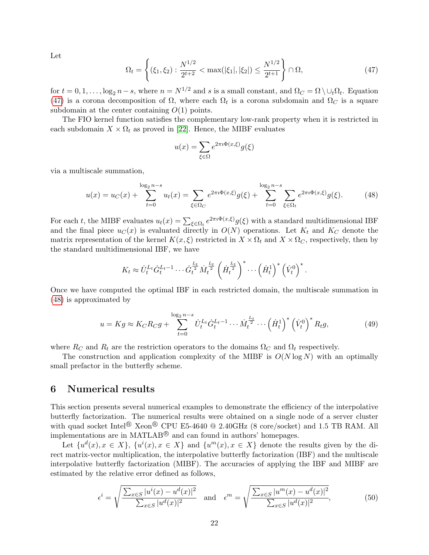Let

<span id="page-21-1"></span>
$$
\Omega_t = \left\{ (\xi_1, \xi_2) : \frac{N^{1/2}}{2^{t+2}} < \max(|\xi_1|, |\xi_2|) \le \frac{N^{1/2}}{2^{t+1}} \right\} \cap \Omega,
$$
\n(47)

for  $t = 0, 1, \ldots, \log_2 n - s$ , where  $n = N^{1/2}$  and s is a small constant, and  $\Omega_C = \Omega \setminus \cup_t \Omega_t$ . Equation [\(47\)](#page-21-1) is a corona decomposition of  $\Omega$ , where each  $\Omega_t$  is a corona subdomain and  $\Omega_c$  is a square subdomain at the center containing  $O(1)$  points.

The FIO kernel function satisfies the complementary low-rank property when it is restricted in each subdomain  $X \times \Omega_t$  as proved in [\[22\]](#page-27-4). Hence, the MIBF evaluates

$$
u(x) = \sum_{\xi \in \Omega} e^{2\pi i \Phi(x,\xi)} g(\xi)
$$

via a multiscale summation,

<span id="page-21-2"></span>
$$
u(x) = u_C(x) + \sum_{t=0}^{\log_2 n - s} u_t(x) = \sum_{\xi \in \Omega_C} e^{2\pi i \Phi(x,\xi)} g(\xi) + \sum_{t=0}^{\log_2 n - s} \sum_{\xi \in \Omega_t} e^{2\pi i \Phi(x,\xi)} g(\xi). \tag{48}
$$

For each t, the MIBF evaluates  $u_t(x) = \sum_{\xi \in \Omega_t} e^{2\pi i \Phi(x,\xi)} g(\xi)$  with a standard multidimensional IBF and the final piece  $u_C(x)$  is evaluated directly in  $O(N)$  operations. Let  $K_t$  and  $K_C$  denote the matrix representation of the kernel  $K(x, \xi)$  restricted in  $X \times \Omega_t$  and  $X \times \Omega_c$ , respectively, then by the standard multidimensional IBF, we have

$$
K_t \approx \dot{U}_t^{L_t} \dot{G}_t^{L_t-1} \cdots \dot{G}_t^{\frac{L_t}{2}} \dot{M}_t^{\frac{L_t}{2}} \left(\dot{H}_t^{\frac{L_t}{2}}\right)^* \cdots \left(\dot{H}_t^1\right)^* \left(\dot{V}_t^0\right)^*.
$$

Once we have computed the optimal IBF in each restricted domain, the multiscale summation in [\(48\)](#page-21-2) is approximated by

$$
u = Kg \approx K_C R_C g + \sum_{t=0}^{\log_2 n - s} \dot{U}_t^{L_t} \dot{G}_t^{L_t - 1} \cdots \dot{M}_t^{\frac{L_t}{2}} \cdots (\dot{H}_t^1)^* (\dot{V}_t^0)^* R_t g,
$$
(49)

where  $R_C$  and  $R_t$  are the restriction operators to the domains  $\Omega_C$  and  $\Omega_t$  respectively.

The construction and application complexity of the MIBF is  $O(N \log N)$  with an optimally small prefactor in the butterfly scheme.

## <span id="page-21-0"></span>6 Numerical results

This section presents several numerical examples to demonstrate the efficiency of the interpolative butterfly factorization. The numerical results were obtained on a single node of a server cluster with quad socket Intel $^{\circledR}$  Xeon $^{\circledR}$  CPU E5-4640  $^{\circledR}$  2.40GHz (8 core/socket) and 1.5 TB RAM. All implementations are in MATLAB $\mathcal{B}$  and can found in authors' homepages.

Let  $\{u^d(x), x \in X\}$ ,  $\{u^i(x), x \in X\}$  and  $\{u^m(x), x \in X\}$  denote the results given by the direct matrix-vector multiplication, the interpolative butterfly factorization (IBF) and the multiscale interpolative butterfly factorization (MIBF). The accuracies of applying the IBF and MIBF are estimated by the relative error defined as follows,

<span id="page-21-3"></span>
$$
\epsilon^{i} = \sqrt{\frac{\sum_{x \in S} |u^{i}(x) - u^{d}(x)|^{2}}{\sum_{x \in S} |u^{d}(x)|^{2}} \quad \text{and} \quad \epsilon^{m} = \sqrt{\frac{\sum_{x \in S} |u^{m}(x) - u^{d}(x)|^{2}}{\sum_{x \in S} |u^{d}(x)|^{2}}},\tag{50}
$$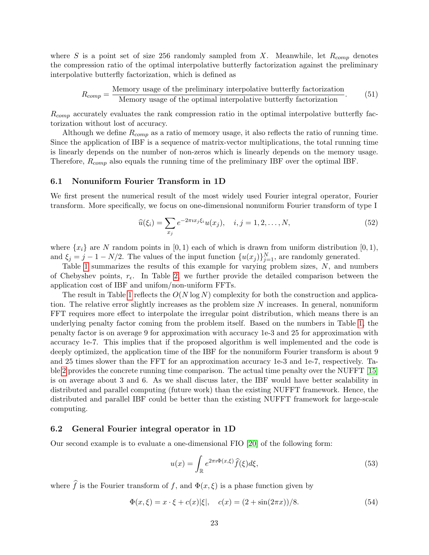where S is a point set of size 256 randomly sampled from X. Meanwhile, let  $R_{comp}$  denotes the compression ratio of the optimal interpolative butterfly factorization against the preliminary interpolative butterfly factorization, which is defined as

<span id="page-22-1"></span>
$$
R_{comp} = \frac{\text{Memory usage of the preliminary interpolative butterfly factorization}}{\text{Memory usage of the optimal interpolative butterfly factorization}}.
$$
 (51)

 $R_{comp}$  accurately evaluates the rank compression ratio in the optimal interpolative butterfly factorization without lost of accuracy.

Although we define  $R_{comp}$  as a ratio of memory usage, it also reflects the ratio of running time. Since the application of IBF is a sequence of matrix-vector multiplications, the total running time is linearly depends on the number of non-zeros which is linearly depends on the memory usage. Therefore,  $R_{comp}$  also equals the running time of the preliminary IBF over the optimal IBF.

#### 6.1 Nonuniform Fourier Transform in 1D

We first present the numerical result of the most widely used Fourier integral operator, Fourier transform. More specifically, we focus on one-dimensional nonuniform Fourier transform of type I

<span id="page-22-0"></span>
$$
\widehat{u}(\xi_i) = \sum_{x_j} e^{-2\pi i x_j \xi_i} u(x_j), \quad i, j = 1, 2, \dots, N,
$$
\n(52)

where  $\{x_i\}$  are N random points in  $[0, 1)$  each of which is drawn from uniform distribution  $[0, 1)$ , and  $\xi_j = j - 1 - N/2$ . The values of the input function  $\{u(x_j)\}_{j=1}^N$ , are randomly generated.

Table [1](#page-23-0) summarizes the results of this example for varying problem sizes, N, and numbers of Chebyshev points,  $r_{\epsilon}$ . In Table [2,](#page-23-1) we further provide the detailed comparison between the application cost of IBF and unifom/non-uniform FFTs.

The result in Table [1](#page-23-0) reflects the  $O(N \log N)$  complexity for both the construction and application. The relative error slightly increases as the problem size  $N$  increases. In general, nonuniform FFT requires more effect to interpolate the irregular point distribution, which means there is an underlying penalty factor coming from the problem itself. Based on the numbers in Table [1,](#page-23-0) the penalty factor is on average 9 for approximation with accuracy 1e-3 and 25 for approximation with accuracy 1e-7. This implies that if the proposed algorithm is well implemented and the code is deeply optimized, the application time of the IBF for the nonuniform Fourier transform is about 9 and 25 times slower than the FFT for an approximation accuracy 1e-3 and 1e-7, respectively. Table [2](#page-23-1) provides the concrete running time comparison. The actual time penalty over the NUFFT [\[15\]](#page-27-7) is on average about 3 and 6. As we shall discuss later, the IBF would have better scalability in distributed and parallel computing (future work) than the existing NUFFT framework. Hence, the distributed and parallel IBF could be better than the existing NUFFT framework for large-scale computing.

#### 6.2 General Fourier integral operator in 1D

Our second example is to evaluate a one-dimensional FIO [\[20\]](#page-27-2) of the following form:

<span id="page-22-2"></span>
$$
u(x) = \int_{\mathbb{R}} e^{2\pi i \Phi(x,\xi)} \hat{f}(\xi) d\xi,
$$
\n(53)

where  $\widehat{f}$  is the Fourier transform of f, and  $\Phi(x,\xi)$  is a phase function given by

$$
\Phi(x,\xi) = x \cdot \xi + c(x)|\xi|, \quad c(x) = (2 + \sin(2\pi x))/8. \tag{54}
$$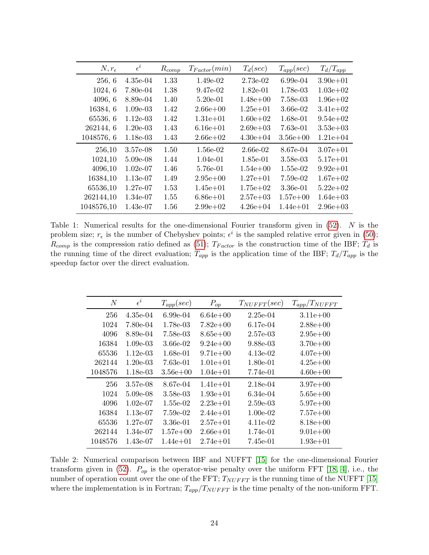<span id="page-23-0"></span>

| $N, r_{\epsilon}$ | $\epsilon^i$ | $R_{comp}$ | $T_{Factor}(min)$ | $T_d(sec)$   | $T_{app}(sec)$ | $T_d/T_{app}$ |
|-------------------|--------------|------------|-------------------|--------------|----------------|---------------|
| 256, 6            | $4.35e-04$   | 1.33       | $1.49e-02$        | 2.73e-02     | $6.99e-04$     | $3.90e + 01$  |
| 1024, 6           | 7.80e-04     | 1.38       | $9.47e-02$        | $1.82e-01$   | 1.78e-03       | $1.03e+02$    |
| 4096, 6           | 8.89e-04     | 1.40       | $5.20e-01$        | $1.48e + 00$ | 7.58e-03       | $1.96e + 02$  |
| 16384, 6          | $1.09e-03$   | 1.42       | $2.66e + 00$      | $1.25e+01$   | 3.66e-02       | $3.41e+02$    |
| 65536, 6          | $1.12e-03$   | 1.42       | $1.31e + 01$      | $1.60e + 02$ | 1.68e-01       | $9.54e + 02$  |
| 262144, 6         | $1.20e-03$   | 1.43       | $6.16e + 01$      | $2.69e + 03$ | 7.63e-01       | $3.53e+03$    |
| 1048576, 6        | 1.18e-03     | 1.43       | $2.66e + 02$      | $4.30e + 04$ | $3.56e + 00$   | $1.21e+0.4$   |
| 256,10            | 3.57e-08     | 1.50       | 1.56e-02          | 2.66e-02     | 8.67e-04       | $3.07e + 01$  |
| 1024,10           | $5.09e-08$   | 1.44       | $1.04e-01$        | 1.85e-01     | 3.58e-03       | $5.17e + 01$  |
| 4096,10           | $1.02e-07$   | 1.46       | 5.76e-01          | $1.54e+00$   | $1.55e-02$     | $9.92e + 01$  |
| 16384,10          | $1.13e-07$   | 1.49       | $2.95e+00$        | $1.27e + 01$ | $7.59e-02$     | $1.67e+02$    |
| 65536,10          | $1.27e-07$   | 1.53       | $1.45e + 01$      | $1.75e+02$   | $3.36e-01$     | $5.22e+0.2$   |
| 262144,10         | 1.34e-07     | 1.55       | $6.86 \pm 01$     | $2.57e+03$   | $1.57e+00$     | $1.64e + 03$  |
| 1048576,10        | 1.43e-07     | 1.56       | $2.99e+0.2$       | $4.26e + 04$ | $1.44e + 01$   | $2.96e + 03$  |

Table 1: Numerical results for the one-dimensional Fourier transform given in  $(52)$ . N is the problem size;  $r_{\epsilon}$  is the number of Chebyshev points;  $\epsilon^{i}$  is the sampled relative error given in [\(50\)](#page-21-3);  $R_{comp}$  is the compression ratio defined as [\(51\)](#page-22-1);  $T_{Factor}$  is the construction time of the IBF;  $T_d$  is the running time of the direct evaluation;  $T_{app}$  is the application time of the IBF;  $T_d/T_{app}$  is the speedup factor over the direct evaluation.

<span id="page-23-1"></span>

| N       | $\epsilon^i$ | $T_{app}(sec)$ | $P_{op}$     | $T_{NUFFT}(sec)$ | $T_{app}/T_{NUFFT}$ |
|---------|--------------|----------------|--------------|------------------|---------------------|
| 256     | 4.35e-04     | $6.99e-04$     | $6.64e + 00$ | $2.25e-04$       | $3.11e+00$          |
| 1024    | 7.80e-04     | 1.78e-03       | $7.82e+00$   | 6.17e-04         | $2.88e+00$          |
| 4096    | 8.89e-04     | 7.58e-03       | $8.65e + 00$ | $2.57$ e-03      | $2.95e+00$          |
| 16384   | $1.09e-03$   | 3.66e-02       | $9.24e + 00$ | 9.88e-03         | $3.70e + 00$        |
| 65536   | $1.12e-0.3$  | 1.68e-01       | $9.71e+00$   | 4.13e-02         | $4.07e+00$          |
| 262144  | $1.20e-0.3$  | 7.63e-01       | $1.01e + 01$ | 1.80e-01         | $4.25e+00$          |
| 1048576 | 1.18e-03     | $3.56e + 00$   | $1.04e + 01$ | 7.74e-01         | $4.60e + 00$        |
| 256     | 3.57e-08     | 8.67e-04       | $1.41e + 01$ | 2.18e-04         | $3.97e+00$          |
| 1024    | 5.09e-08     | 3.58e-03       | $1.93e+01$   | 6.34e-04         | $5.65e+00$          |
| 4096    | $1.02e-07$   | 1.55e-02       | $2.23e+01$   | 2.59e-03         | $5.97e+00$          |
| 16384   | 1.13e-07     | 7.59e-02       | $2.44e + 01$ | $1.00e-02$       | $7.57e+00$          |
| 65536   | 1.27e-07     | 3.36e-01       | $2.57e + 01$ | 4.11e-02         | $8.18e + 00$        |
| 262144  | 1.34e-07     | $1.57e + 00$   | $2.66e + 01$ | 1.74e-01         | $9.01e + 00$        |
| 1048576 | 1.43e-07     | $1.44e + 01$   | $2.74e + 01$ | 7.45e-01         | $1.93e + 01$        |

Table 2: Numerical comparison between IBF and NUFFT [\[15\]](#page-27-7) for the one-dimensional Fourier transform given in [\(52\)](#page-22-0).  $P_{op}$  is the operator-wise penalty over the uniform FFT [\[18,](#page-27-16) [4\]](#page-26-10), i.e., the number of operation count over the one of the FFT;  $T_{NUFFT}$  is the running time of the NUFFT [\[15\]](#page-27-7) where the implementation is in Fortran;  $T_{app}/T_{NUFFT}$  is the time penalty of the non-uniform FFT.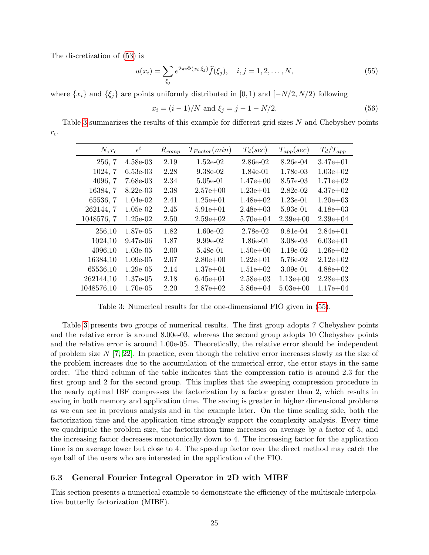The discretization of [\(53\)](#page-22-2) is

<span id="page-24-1"></span>
$$
u(x_i) = \sum_{\xi_j} e^{2\pi i \Phi(x_i, \xi_j)} \hat{f}(\xi_j), \quad i, j = 1, 2, ..., N,
$$
 (55)

where  $\{x_i\}$  and  $\{\xi_j\}$  are points uniformly distributed in [0, 1) and [−N/2, N/2) following

$$
x_i = (i - 1)/N \text{ and } \xi_j = j - 1 - N/2. \tag{56}
$$

<span id="page-24-0"></span>Table [3](#page-24-0) summarizes the results of this example for different grid sizes N and Chebyshev points  $r_\epsilon.$ 

| $N, r_{\epsilon}$ | $\epsilon^i$ | $R_{comp}$ | $T_{Factor}(min)$ | $T_d(sec)$   | $T_{app}(sec)$ | $T_d/T_{app}$ |
|-------------------|--------------|------------|-------------------|--------------|----------------|---------------|
| 256, 7            | $4.58e-03$   | 2.19       | $1.52e-02$        | 2.86e-02     | 8.26e-04       | $3.47e + 01$  |
| 1024, 7           | $6.53e-03$   | 2.28       | 9.38e-02          | 1.84e-01     | 1.78e-03       | $1.03e+02$    |
| 4096, 7           | 7.68e-03     | 2.34       | 5.05e-01          | $1.47e+00$   | 8.57e-03       | $1.71e+02$    |
| 16384, 7          | $8.22e-03$   | 2.38       | $2.57e+00$        | $1.23e + 01$ | $2.82e-02$     | $4.37e+0.2$   |
| 65536, 7          | $1.04e-02$   | 2.41       | $1.25e+01$        | $1.48e+02$   | $1.23e-01$     | $1.20e + 03$  |
| 262144, 7         | $1.05e-02$   | 2.45       | $5.91e + 01$      | $2.48e+03$   | 5.93e-01       | $4.18e + 03$  |
| 1048576, 7        | $1.25e-02$   | 2.50       | $2.59e+02$        | $5.70e + 04$ | $2.39e+00$     | $2.39e + 04$  |
| 256,10            | 1.87e-05     | 1.82       | $1.60e-02$        | 2.78e-02     | 9.81e-04       | $2.84e+01$    |
| 1024,10           | 9.47e-06     | 1.87       | $9.99e-02$        | 1.86e-01     | 3.08e-03       | $6.03e + 01$  |
| 4096,10           | $1.03e-05$   | 2.00       | 5.48e-01          | $1.50e + 00$ | $1.19e-02$     | $1.26e+0.2$   |
| 16384,10          | $1.09e-05$   | 2.07       | $2.80e + 00$      | $1.22e + 01$ | 5.76e-02       | $2.12e+0.2$   |
| 65536,10          | $1.29e-0.5$  | 2.14       | $1.37e + 01$      | $1.51e+02$   | $3.09e-01$     | $4.88e+0.2$   |
| 262144,10         | $1.37e-0.5$  | 2.18       | $6.45e + 01$      | $2.58e + 03$ | $1.13e+00$     | $2.28e + 03$  |
| 1048576,10        | $1.70e-0.5$  | 2.20       | $2.87e+0.2$       | $5.86 + 04$  | $5.03e+00$     | $1.17e + 04$  |

Table 3: Numerical results for the one-dimensional FIO given in [\(55\)](#page-24-1).

Table [3](#page-24-0) presents two groups of numerical results. The first group adopts 7 Chebyshev points and the relative error is around 8.00e-03, whereas the second group adopts 10 Chebyshev points and the relative error is around 1.00e-05. Theoretically, the relative error should be independent of problem size  $N$  [\[7,](#page-26-0) [22\]](#page-27-4). In practice, even though the relative error increases slowly as the size of the problem increases due to the accumulation of the numerical error, the error stays in the same order. The third column of the table indicates that the compression ratio is around 2.3 for the first group and 2 for the second group. This implies that the sweeping compression procedure in the nearly optimal IBF compresses the factorization by a factor greater than 2, which results in saving in both memory and application time. The saving is greater in higher dimensional problems as we can see in previous analysis and in the example later. On the time scaling side, both the factorization time and the application time strongly support the complexity analysis. Every time we quadripule the problem size, the factorization time increases on average by a factor of 5, and the increasing factor decreases monotonically down to 4. The increasing factor for the application time is on average lower but close to 4. The speedup factor over the direct method may catch the eye ball of the users who are interested in the application of the FIO.

### 6.3 General Fourier Integral Operator in 2D with MIBF

This section presents a numerical example to demonstrate the efficiency of the multiscale interpolative butterfly factorization (MIBF).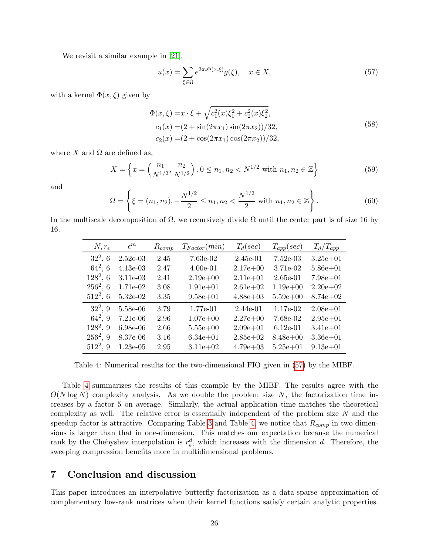We revisit a similar example in [\[21\]](#page-27-3),

<span id="page-25-1"></span>
$$
u(x) = \sum_{\xi \in \Omega} e^{2\pi i \Phi(x,\xi)} g(\xi), \quad x \in X,
$$
\n(57)

with a kernel  $\Phi(x,\xi)$  given by

$$
\Phi(x,\xi) = x \cdot \xi + \sqrt{c_1^2(x)\xi_1^2 + c_2^2(x)\xi_2^2},
$$
  
\n
$$
c_1(x) = (2 + \sin(2\pi x_1)\sin(2\pi x_2))/32,
$$
  
\n
$$
c_2(x) = (2 + \cos(2\pi x_1)\cos(2\pi x_2))/32,
$$
\n(58)

where X and  $\Omega$  are defined as,

$$
X = \left\{ x = \left( \frac{n_1}{N^{1/2}}, \frac{n_2}{N^{1/2}} \right), 0 \le n_1, n_2 < N^{1/2} \text{ with } n_1, n_2 \in \mathbb{Z} \right\}
$$
 (59)

and

$$
\Omega = \left\{ \xi = (n_1, n_2), -\frac{N^{1/2}}{2} \le n_1, n_2 < \frac{N^{1/2}}{2} \text{ with } n_1, n_2 \in \mathbb{Z} \right\}.
$$
\n(60)

<span id="page-25-2"></span>In the multiscale decomposition of  $\Omega$ , we recursively divide  $\Omega$  until the center part is of size 16 by 16.

| $N, r_{\epsilon}$ | $\epsilon^m$ | $R_{comp}$ | $T_{Factor}(min)$ | $T_d(sec)$   | $T_{app}(sec)$ | $T_d/T_{app}$ |
|-------------------|--------------|------------|-------------------|--------------|----------------|---------------|
| $32^2, 6$         | $2.52e-03$   | 2.45       | 7.63e-02          | $2.45e-01$   | $7.52e-03$     | $3.25e + 01$  |
| $64^2, 6$         | $4.13e-03$   | 2.47       | $4.00e-01$        | $2.17e + 00$ | 3.71e-02       | $5.86e + 01$  |
| $128^2, 6$        | 3.11e-03     | 2.41       | $2.19e + 00$      | $2.11e + 01$ | $2.65e-01$     | $7.98e + 01$  |
| $256^2, 6$        | 1.71e-02     | 3.08       | $1.91e + 01$      | $2.61e + 02$ | $1.19e + 00$   | $2.20e + 0.2$ |
| $512^2, 6$        | 5.32e-02     | 3.35       | $9.58e + 01$      | $4.88e + 03$ | $5.59e + 00$   | $8.74e + 02$  |
| $32^2, 9$         | 5.58e-06     | 3.79       | 1.77e-01          | 2.44e-01     | 1.17e-02       | $2.08e + 01$  |
| $64^2, 9$         | 7.21e-06     | 2.96       | $1.07e + 00$      | $2.27e+00$   | 7.68e-02       | $2.95e + 01$  |
| $128^2, 9$        | 6.98e-06     | 2.66       | $5.55e+00$        | $2.09e + 01$ | $6.12e-01$     | $3.41e + 01$  |
| $256^2, 9$        | 8.37e-06     | 3.16       | $6.34e + 01$      | $2.85e+02$   | $8.48e + 00$   | $3.36e + 01$  |
| $512^2, 9$        | $1.23e-05$   | 2.95       | $3.11e + 02$      | $4.79e + 03$ | $5.25e + 01$   | $9.13e + 01$  |

Table 4: Numerical results for the two-dimensional FIO given in [\(57\)](#page-25-1) by the MIBF.

Table [4](#page-25-2) summarizes the results of this example by the MIBF. The results agree with the  $O(N \log N)$  complexity analysis. As we double the problem size N, the factorization time increases by a factor 5 on average. Similarly, the actual application time matches the theoretical complexity as well. The relative error is essentially independent of the problem size  $N$  and the speedup factor is attractive. Comparing Table [3](#page-24-0) and Table [4,](#page-25-2) we notice that  $R_{comp}$  in two dimensions is larger than that in one-dimension. This matches our expectation because the numerical rank by the Chebyshev interpolation is  $r_{\epsilon}^{d}$ , which increases with the dimension d. Therefore, the sweeping compression benefits more in multidimensional problems.

# <span id="page-25-0"></span>7 Conclusion and discussion

This paper introduces an interpolative butterfly factorization as a data-sparse approximation of complementary low-rank matrices when their kernel functions satisfy certain analytic properties.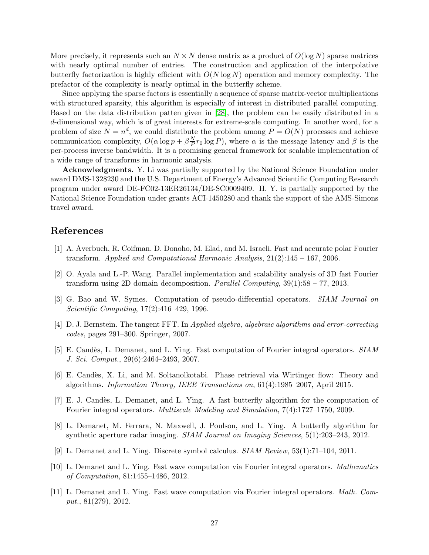More precisely, it represents such an  $N \times N$  dense matrix as a product of  $O(\log N)$  sparse matrices with nearly optimal number of entries. The construction and application of the interpolative butterfly factorization is highly efficient with  $O(N \log N)$  operation and memory complexity. The prefactor of the complexity is nearly optimal in the butterfly scheme.

Since applying the sparse factors is essentially a sequence of sparse matrix-vector multiplications with structured sparsity, this algorithm is especially of interest in distributed parallel computing. Based on the data distribution patten given in [\[28\]](#page-27-5), the problem can be easily distributed in a d-dimensional way, which is of great interests for extreme-scale computing. In another word, for a problem of size  $N = n^d$ , we could distribute the problem among  $P = O(N)$  processes and achieve communication complexity,  $O(\alpha \log p + \beta \frac{N}{P})$  $\frac{N}{P}r_0 \log P$ , where  $\alpha$  is the message latency and  $\beta$  is the per-process inverse bandwidth. It is a promising general framework for scalable implementation of a wide range of transforms in harmonic analysis.

**Acknowledgments.** Y. Li was partially supported by the National Science Foundation under award DMS-1328230 and the U.S. Department of Energy's Advanced Scientific Computing Research program under award DE-FC02-13ER26134/DE-SC0009409. H. Y. is partially supported by the National Science Foundation under grants ACI-1450280 and thank the support of the AMS-Simons travel award.

## References

- <span id="page-26-2"></span>[1] A. Averbuch, R. Coifman, D. Donoho, M. Elad, and M. Israeli. Fast and accurate polar Fourier transform. Applied and Computational Harmonic Analysis,  $21(2):145 - 167$ , 2006.
- <span id="page-26-3"></span>[2] O. Ayala and L.-P. Wang. Parallel implementation and scalability analysis of 3D fast Fourier transform using 2D domain decomposition. Parallel Computing,  $39(1):58 - 77$ , 2013.
- <span id="page-26-7"></span>[3] G. Bao and W. Symes. Computation of pseudo-differential operators. SIAM Journal on Scientific Computing, 17(2):416–429, 1996.
- <span id="page-26-10"></span>[4] D. J. Bernstein. The tangent FFT. In Applied algebra, algebraic algorithms and error-correcting codes, pages 291–300. Springer, 2007.
- <span id="page-26-8"></span>[5] E. Candès, L. Demanet, and L. Ying. Fast computation of Fourier integral operators. SIAM J. Sci. Comput., 29(6):2464–2493, 2007.
- <span id="page-26-5"></span>[6] E. Cand`es, X. Li, and M. Soltanolkotabi. Phase retrieval via Wirtinger flow: Theory and algorithms. Information Theory, IEEE Transactions on, 61(4):1985–2007, April 2015.
- <span id="page-26-0"></span>[7] E. J. Candès, L. Demanet, and L. Ying. A fast butterfly algorithm for the computation of Fourier integral operators. Multiscale Modeling and Simulation, 7(4):1727–1750, 2009.
- <span id="page-26-6"></span>[8] L. Demanet, M. Ferrara, N. Maxwell, J. Poulson, and L. Ying. A butterfly algorithm for synthetic aperture radar imaging. SIAM Journal on Imaging Sciences, 5(1):203–243, 2012.
- <span id="page-26-9"></span>[9] L. Demanet and L. Ying. Discrete symbol calculus. SIAM Review, 53(1):71–104, 2011.
- <span id="page-26-1"></span>[10] L. Demanet and L. Ying. Fast wave computation via Fourier integral operators. Mathematics of Computation, 81:1455–1486, 2012.
- <span id="page-26-4"></span>[11] L. Demanet and L. Ying. Fast wave computation via Fourier integral operators. Math. Comput., 81(279), 2012.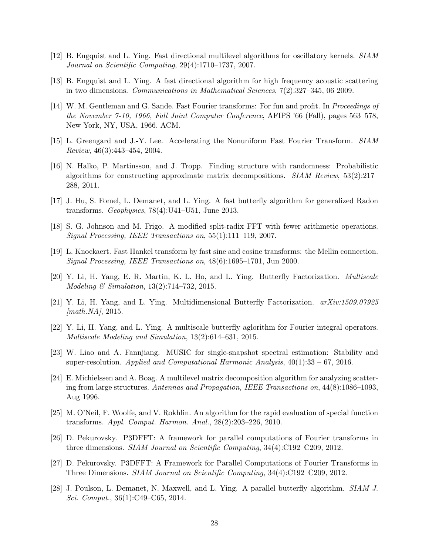- <span id="page-27-13"></span>[12] B. Engquist and L. Ying. Fast directional multilevel algorithms for oscillatory kernels. SIAM Journal on Scientific Computing, 29(4):1710–1737, 2007.
- <span id="page-27-14"></span>[13] B. Engquist and L. Ying. A fast directional algorithm for high frequency acoustic scattering in two dimensions. Communications in Mathematical Sciences, 7(2):327–345, 06 2009.
- <span id="page-27-6"></span>[14] W. M. Gentleman and G. Sande. Fast Fourier transforms: For fun and profit. In *Proceedings of* the November 7-10, 1966, Fall Joint Computer Conference, AFIPS '66 (Fall), pages 563–578, New York, NY, USA, 1966. ACM.
- <span id="page-27-7"></span>[15] L. Greengard and J.-Y. Lee. Accelerating the Nonuniform Fast Fourier Transform. SIAM Review, 46(3):443–454, 2004.
- <span id="page-27-15"></span>[16] N. Halko, P. Martinsson, and J. Tropp. Finding structure with randomness: Probabilistic algorithms for constructing approximate matrix decompositions. SIAM Review, 53(2):217– 288, 2011.
- <span id="page-27-10"></span>[17] J. Hu, S. Fomel, L. Demanet, and L. Ying. A fast butterfly algorithm for generalized Radon transforms. Geophysics,  $78(4):U41-U51$ , June 2013.
- <span id="page-27-16"></span>[18] S. G. Johnson and M. Frigo. A modified split-radix FFT with fewer arithmetic operations. Signal Processing, IEEE Transactions on, 55(1):111–119, 2007.
- <span id="page-27-8"></span>[19] L. Knockaert. Fast Hankel transform by fast sine and cosine transforms: the Mellin connection. Signal Processing, IEEE Transactions on, 48(6):1695–1701, Jun 2000.
- <span id="page-27-2"></span>[20] Y. Li, H. Yang, E. R. Martin, K. L. Ho, and L. Ying. Butterfly Factorization. Multiscale Modeling & Simulation, 13(2):714–732, 2015.
- <span id="page-27-3"></span>[21] Y. Li, H. Yang, and L. Ying. Multidimensional Butterfly Factorization. arXiv:1509.07925  $[math.NA], 2015.$
- <span id="page-27-4"></span>[22] Y. Li, H. Yang, and L. Ying. A multiscale butterfly aglorithm for Fourier integral operators. Multiscale Modeling and Simulation, 13(2):614–631, 2015.
- <span id="page-27-12"></span>[23] W. Liao and A. Fannjiang. MUSIC for single-snapshot spectral estimation: Stability and super-resolution. Applied and Computational Harmonic Analysis,  $40(1):33 - 67$ , 2016.
- <span id="page-27-0"></span>[24] E. Michielssen and A. Boag. A multilevel matrix decomposition algorithm for analyzing scattering from large structures. Antennas and Propagation, IEEE Transactions on, 44(8):1086–1093, Aug 1996.
- <span id="page-27-1"></span>[25] M. O'Neil, F. Woolfe, and V. Rokhlin. An algorithm for the rapid evaluation of special function transforms. Appl. Comput. Harmon. Anal., 28(2):203–226, 2010.
- <span id="page-27-9"></span>[26] D. Pekurovsky. P3DFFT: A framework for parallel computations of Fourier transforms in three dimensions. SIAM Journal on Scientific Computing, 34(4):C192–C209, 2012.
- <span id="page-27-11"></span>[27] D. Pekurovsky. P3DFFT: A Framework for Parallel Computations of Fourier Transforms in Three Dimensions. SIAM Journal on Scientific Computing, 34(4):C192–C209, 2012.
- <span id="page-27-5"></span>[28] J. Poulson, L. Demanet, N. Maxwell, and L. Ying. A parallel butterfly algorithm. SIAM J. Sci. Comput., 36(1):C49–C65, 2014.